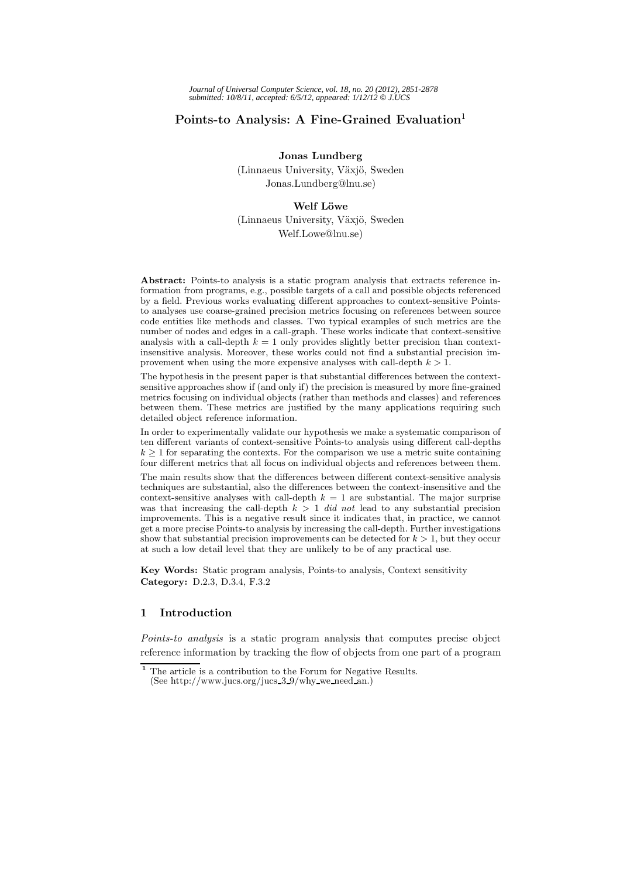# **Points-to Analysis: A Fine-Grained Evaluation**<sup>1</sup>

**Jonas Lundberg**

(Linnaeus University, Växjö, Sweden Jonas.Lundberg@lnu.se)

#### **Welf L¨owe**

(Linnaeus University, Växjö, Sweden Welf.Lowe@lnu.se)

**Abstract:** Points-to analysis is a static program analysis that extracts reference information from programs, e.g., possible targets of a call and possible objects referenced by a field. Previous works evaluating different approaches to context-sensitive Pointsto analyses use coarse-grained precision metrics focusing on references between source code entities like methods and classes. Two typical examples of such metrics are the number of nodes and edges in a call-graph. These works indicate that context-sensitive analysis with a call-depth  $k = 1$  only provides slightly better precision than contextinsensitive analysis. Moreover, these works could not find a substantial precision improvement when using the more expensive analyses with call-depth *k >* 1.

The hypothesis in the present paper is that substantial differences between the contextsensitive approaches show if (and only if) the precision is measured by more fine-grained metrics focusing on individual objects (rather than methods and classes) and references between them. These metrics are justified by the many applications requiring such detailed object reference information.

In order to experimentally validate our hypothesis we make a systematic comparison of ten different variants of context-sensitive Points-to analysis using different call-depths  $k \geq 1$  for separating the contexts. For the comparison we use a metric suite containing four different metrics that all focus on individual objects and references between them.

The main results show that the differences between different context-sensitive analysis techniques are substantial, also the differences between the context-insensitive and the context-sensitive analyses with call-depth  $k = 1$  are substantial. The major surprise was that increasing the call-depth  $k > 1$  *did not* lead to any substantial precision improvements. This is a negative result since it indicates that, in practice, we cannot get a more precise Points-to analysis by increasing the call-depth. Further investigations show that substantial precision improvements can be detected for *k >* 1, but they occur at such a low detail level that they are unlikely to be of any practical use.

**Key Words:** Static program analysis, Points-to analysis, Context sensitivity **Category:** D.2.3, D.3.4, F.3.2

# **1 Introduction**

*Points-to analysis* is a static program analysis that computes precise object reference information by tracking the flow of objects from one part of a program

**<sup>1</sup>** The article is a contribution to the Forum for Negative Results. (See http://www.jucs.org/jucs 3 9/why we need an.)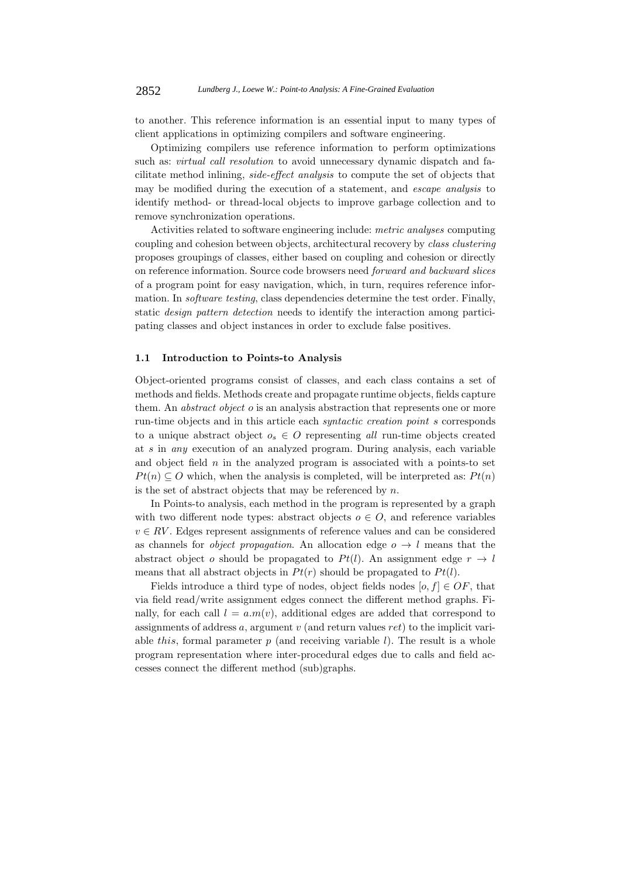to another. This reference information is an essential input to many types of client applications in optimizing compilers and software engineering.

Optimizing compilers use reference information to perform optimizations such as: *virtual call resolution* to avoid unnecessary dynamic dispatch and facilitate method inlining, *side-effect analysis* to compute the set of objects that may be modified during the execution of a statement, and *escape analysis* to identify method- or thread-local objects to improve garbage collection and to remove synchronization operations.

Activities related to software engineering include: *metric analyses* computing coupling and cohesion between objects, architectural recovery by *class clustering* proposes groupings of classes, either based on coupling and cohesion or directly on reference information. Source code browsers need *forward and backward slices* of a program point for easy navigation, which, in turn, requires reference information. In *software testing*, class dependencies determine the test order. Finally, static *design pattern detection* needs to identify the interaction among participating classes and object instances in order to exclude false positives.

### **1.1 Introduction to Points-to Analysis**

Object-oriented programs consist of classes, and each class contains a set of methods and fields. Methods create and propagate runtime objects, fields capture them. An *abstract object* o is an analysis abstraction that represents one or more run-time objects and in this article each *syntactic creation point* s corresponds to a unique abstract object  $o_s \in O$  representing *all* run-time objects created at s in *any* execution of an analyzed program. During analysis, each variable and object field  $n$  in the analyzed program is associated with a points-to set  $Pt(n) \subseteq O$  which, when the analysis is completed, will be interpreted as:  $Pt(n)$ is the set of abstract objects that may be referenced by  $n$ .

In Points-to analysis, each method in the program is represented by a graph with two different node types: abstract objects  $o \in O$ , and reference variables  $v \in RV$ . Edges represent assignments of reference values and can be considered as channels for *object propagation*. An allocation edge  $o \rightarrow l$  means that the abstract object o should be propagated to  $Pt(l)$ . An assignment edge  $r \rightarrow l$ means that all abstract objects in  $Pt(r)$  should be propagated to  $Pt(l)$ .

Fields introduce a third type of nodes, object fields nodes  $[o, f] \in OF$ , that via field read/write assignment edges connect the different method graphs. Finally, for each call  $l = a.m(v)$ , additional edges are added that correspond to assignments of address  $a$ , argument  $v$  (and return values  $ret$ ) to the implicit variable this, formal parameter  $p$  (and receiving variable  $l$ ). The result is a whole program representation where inter-procedural edges due to calls and field accesses connect the different method (sub)graphs.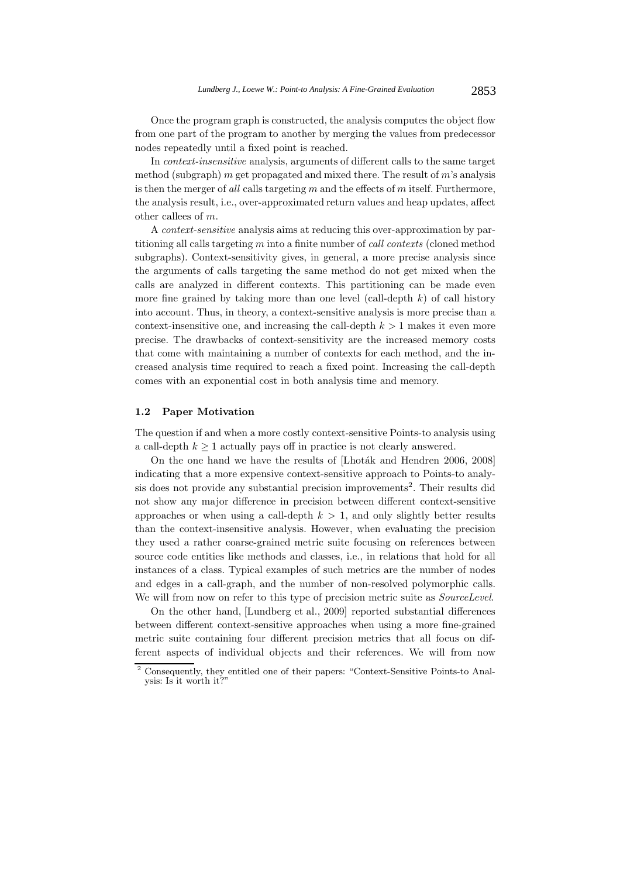Once the program graph is constructed, the analysis computes the object flow from one part of the program to another by merging the values from predecessor nodes repeatedly until a fixed point is reached.

In *context-insensitive* analysis, arguments of different calls to the same target method (subgraph) m get propagated and mixed there. The result of  $m$ 's analysis is then the merger of *all* calls targeting m and the effects of m itself. Furthermore, the analysis result, i.e., over-approximated return values and heap updates, affect other callees of m.

A *context-sensitive* analysis aims at reducing this over-approximation by partitioning all calls targeting m into a finite number of *call contexts* (cloned method subgraphs). Context-sensitivity gives, in general, a more precise analysis since the arguments of calls targeting the same method do not get mixed when the calls are analyzed in different contexts. This partitioning can be made even more fine grained by taking more than one level (call-depth  $k$ ) of call history into account. Thus, in theory, a context-sensitive analysis is more precise than a context-insensitive one, and increasing the call-depth  $k > 1$  makes it even more precise. The drawbacks of context-sensitivity are the increased memory costs that come with maintaining a number of contexts for each method, and the increased analysis time required to reach a fixed point. Increasing the call-depth comes with an exponential cost in both analysis time and memory.

#### **1.2 Paper Motivation**

The question if and when a more costly context-sensitive Points-to analysis using a call-depth  $k \geq 1$  actually pays off in practice is not clearly answered.

On the one hand we have the results of [Lhoták and Hendren 2006, 2008] indicating that a more expensive context-sensitive approach to Points-to analysis does not provide any substantial precision improvements<sup>2</sup>. Their results did not show any major difference in precision between different context-sensitive approaches or when using a call-depth  $k > 1$ , and only slightly better results than the context-insensitive analysis. However, when evaluating the precision they used a rather coarse-grained metric suite focusing on references between source code entities like methods and classes, i.e., in relations that hold for all instances of a class. Typical examples of such metrics are the number of nodes and edges in a call-graph, and the number of non-resolved polymorphic calls. We will from now on refer to this type of precision metric suite as *SourceLevel*.

On the other hand, [Lundberg et al., 2009] reported substantial differences between different context-sensitive approaches when using a more fine-grained metric suite containing four different precision metrics that all focus on different aspects of individual objects and their references. We will from now

<sup>2</sup> Consequently, they entitled one of their papers: "Context-Sensitive Points-to Analysis: Is it worth it?"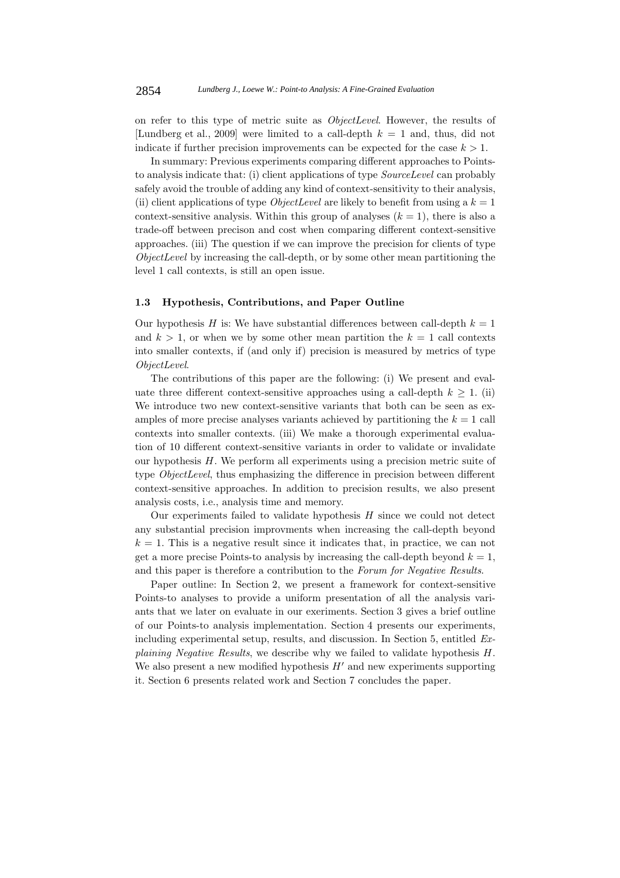on refer to this type of metric suite as *ObjectLevel*. However, the results of [Lundberg et al., 2009] were limited to a call-depth  $k = 1$  and, thus, did not indicate if further precision improvements can be expected for the case  $k > 1$ .

In summary: Previous experiments comparing different approaches to Pointsto analysis indicate that: (i) client applications of type *SourceLevel* can probably safely avoid the trouble of adding any kind of context-sensitivity to their analysis, (ii) client applications of type *ObjectLevel* are likely to benefit from using a  $k = 1$ context-sensitive analysis. Within this group of analyses  $(k = 1)$ , there is also a trade-off between precison and cost when comparing different context-sensitive approaches. (iii) The question if we can improve the precision for clients of type *ObjectLevel* by increasing the call-depth, or by some other mean partitioning the level 1 call contexts, is still an open issue.

## **1.3 Hypothesis, Contributions, and Paper Outline**

Our hypothesis H is: We have substantial differences between call-depth  $k = 1$ and  $k > 1$ , or when we by some other mean partition the  $k = 1$  call contexts into smaller contexts, if (and only if) precision is measured by metrics of type *ObjectLevel*.

The contributions of this paper are the following: (i) We present and evaluate three different context-sensitive approaches using a call-depth  $k \geq 1$ . (ii) We introduce two new context-sensitive variants that both can be seen as examples of more precise analyses variants achieved by partitioning the  $k = 1$  call contexts into smaller contexts. (iii) We make a thorough experimental evaluation of 10 different context-sensitive variants in order to validate or invalidate our hypothesis H. We perform all experiments using a precision metric suite of type *ObjectLevel*, thus emphasizing the difference in precision between different context-sensitive approaches. In addition to precision results, we also present analysis costs, i.e., analysis time and memory.

Our experiments failed to validate hypothesis  $H$  since we could not detect any substantial precision improvments when increasing the call-depth beyond  $k = 1$ . This is a negative result since it indicates that, in practice, we can not get a more precise Points-to analysis by increasing the call-depth beyond  $k = 1$ , and this paper is therefore a contribution to the *Forum for Negative Results*.

Paper outline: In Section 2, we present a framework for context-sensitive Points-to analyses to provide a uniform presentation of all the analysis variants that we later on evaluate in our exeriments. Section 3 gives a brief outline of our Points-to analysis implementation. Section 4 presents our experiments, including experimental setup, results, and discussion. In Section 5, entitled *Explaining Negative Results*, we describe why we failed to validate hypothesis H. We also present a new modified hypothesis  $H'$  and new experiments supporting<br>it. Section 6 presents related weak and Section 7 concludes the paper it. Section 6 presents related work and Section 7 concludes the paper.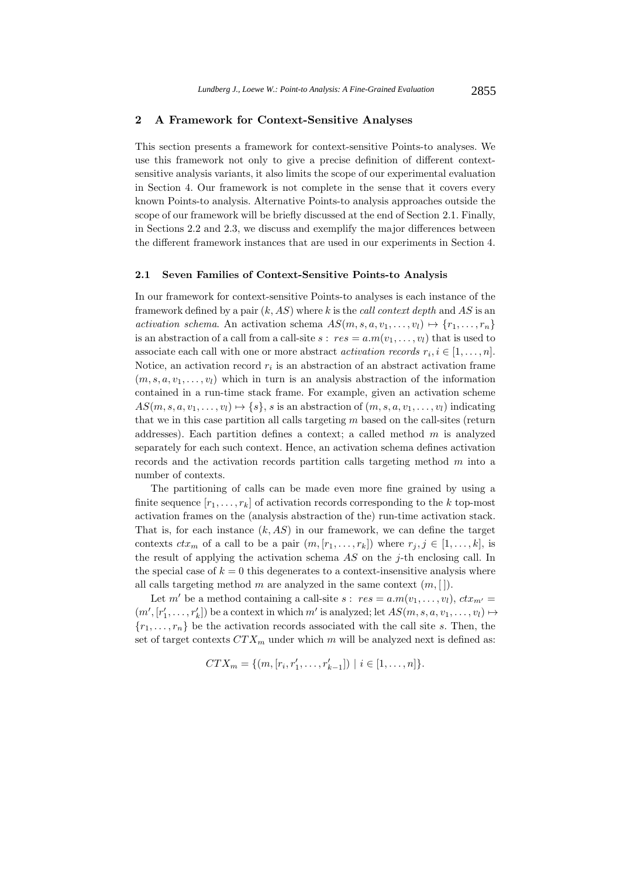## **2 A Framework for Context-Sensitive Analyses**

This section presents a framework for context-sensitive Points-to analyses. We use this framework not only to give a precise definition of different contextsensitive analysis variants, it also limits the scope of our experimental evaluation in Section 4. Our framework is not complete in the sense that it covers every known Points-to analysis. Alternative Points-to analysis approaches outside the scope of our framework will be briefly discussed at the end of Section 2.1. Finally, in Sections 2.2 and 2.3, we discuss and exemplify the major differences between the different framework instances that are used in our experiments in Section 4.

#### **2.1 Seven Families of Context-Sensitive Points-to Analysis**

In our framework for context-sensitive Points-to analyses is each instance of the framework defined by a pair (k, AS) where k is the *call context depth* and AS is an *activation schema*. An activation schema  $AS(m, s, a, v_1, \ldots, v_l) \mapsto \{r_1, \ldots, r_n\}$ is an abstraction of a call from a call-site  $s : res = a.m(v_1, \ldots, v_l)$  that is used to associate each call with one or more abstract *activation records*  $r_i, i \in [1, \ldots, n]$ . Notice, an activation record  $r_i$  is an abstraction of an abstract activation frame  $(m, s, a, v_1, \ldots, v_l)$  which in turn is an analysis abstraction of the information contained in a run-time stack frame. For example, given an activation scheme  $AS(m, s, a, v_1, \ldots, v_l) \mapsto \{s\}, s$  is an abstraction of  $(m, s, a, v_1, \ldots, v_l)$  indicating that we in this case partition all calls targeting  $m$  based on the call-sites (return addresses). Each partition defines a context; a called method  $m$  is analyzed separately for each such context. Hence, an activation schema defines activation records and the activation records partition calls targeting method m into a number of contexts.

The partitioning of calls can be made even more fine grained by using a finite sequence  $[r_1,\ldots,r_k]$  of activation records corresponding to the k top-most activation frames on the (analysis abstraction of the) run-time activation stack. That is, for each instance  $(k, AS)$  in our framework, we can define the target contexts  $ctx_m$  of a call to be a pair  $(m, [r_1, \ldots, r_k])$  where  $r_j, j \in [1, \ldots, k]$ , is the result of applying the activation schema  $AS$  on the j-th enclosing call. In the special case of  $k = 0$  this degenerates to a context-insensitive analysis where all calls targeting method m are analyzed in the same context  $(m, []).$ 

Let m' be a method containing a call-site  $s : res = a.m(v_1, ..., v_l), ctx_m =$  $(m', [r'_1, \ldots, r'_k])$  be a context in which m' is analyzed; let  $AS(m, s, a, v_1, \ldots, v_l) \mapsto$  ${r_1, \ldots, r_n}$  be the activation records associated with the call site s. Then, the set of target contexts  $CTX_m$  under which m will be analyzed next is defined as:

$$
CTX_m = \{(m, [r_i, r'_1, \ldots, r'_{k-1}]) \mid i \in [1, \ldots, n]\}.
$$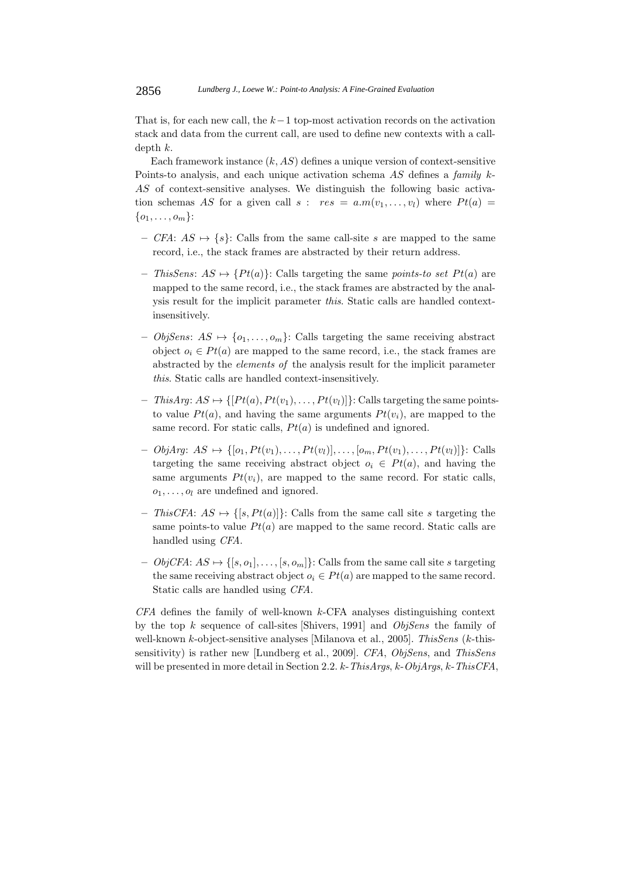That is, for each new call, the  $k-1$  top-most activation records on the activation stack and data from the current call, are used to define new contexts with a calldepth k.

Each framework instance  $(k, AS)$  defines a unique version of context-sensitive Points-to analysis, and each unique activation schema AS defines a *family* k-AS of context-sensitive analyses. We distinguish the following basic activation schemas AS for a given call  $s : res = a.m(v_1,...,v_l)$  where  $Pt(a)$  $\{o_1, \ldots, o_m\}$ :

- **–** *CFA*: AS → {s}: Calls from the same call-site s are mapped to the same record, i.e., the stack frames are abstracted by their return address.
- $-$  *ThisSens:*  $AS \mapsto \{Pt(a)\}\$ : Calls targeting the same *points-to set*  $Pt(a)$  are mapped to the same record, i.e., the stack frames are abstracted by the analysis result for the implicit parameter *this*. Static calls are handled contextinsensitively.
- **–** *ObjSens*: AS → {o1,...,o*m*}: Calls targeting the same receiving abstract object  $o_i \in Pt(a)$  are mapped to the same record, i.e., the stack frames are abstracted by the *elements of* the analysis result for the implicit parameter *this*. Static calls are handled context-insensitively.
- $-$  *ThisArg*:  $AS \mapsto \{[Pt(a), Pt(v_1), \ldots, Pt(v_l)]\}$ : Calls targeting the same pointsto value  $Pt(a)$ , and having the same arguments  $Pt(v_i)$ , are mapped to the same record. For static calls,  $Pt(a)$  is undefined and ignored.
- *− ObjArg*:  $AS$   $\mapsto \{[o_1, Pt(v_1),...,Pt(v_l)],...,[o_m,Pt(v_1),...,Pt(v_l)]\}$ : Calls targeting the same receiving abstract object  $o_i \in Pt(a)$ , and having the same arguments  $Pt(v_i)$ , are mapped to the same record. For static calls,  $o_1, \ldots, o_l$  are undefined and ignored.
- $-$  *ThisCFA*:  $AS \mapsto \{[s, Pt(a)]\}$ : Calls from the same call site s targeting the same points-to value  $Pt(a)$  are mapped to the same record. Static calls are handled using *CFA*.
- $−$  *ObjCFA*:  $AS \mapsto \{[s, o_1], \ldots, [s, o_m]\}$ : Calls from the same call site s targeting the same receiving abstract object  $o_i \in Pt(a)$  are mapped to the same record. Static calls are handled using *CFA*.

*CFA* defines the family of well-known k-CFA analyses distinguishing context by the top k sequence of call-sites [Shivers, 1991] and *ObjSens* the family of well-known k-object-sensitive analyses [Milanova et al., 2005]. *ThisSens* (k-thissensitivity) is rather new [Lundberg et al., 2009]. *CFA*, *ObjSens*, and *ThisSens* will be presented in more detail in Section 2.2. k-*ThisArgs*, k-*ObjArgs*, k-*ThisCFA*,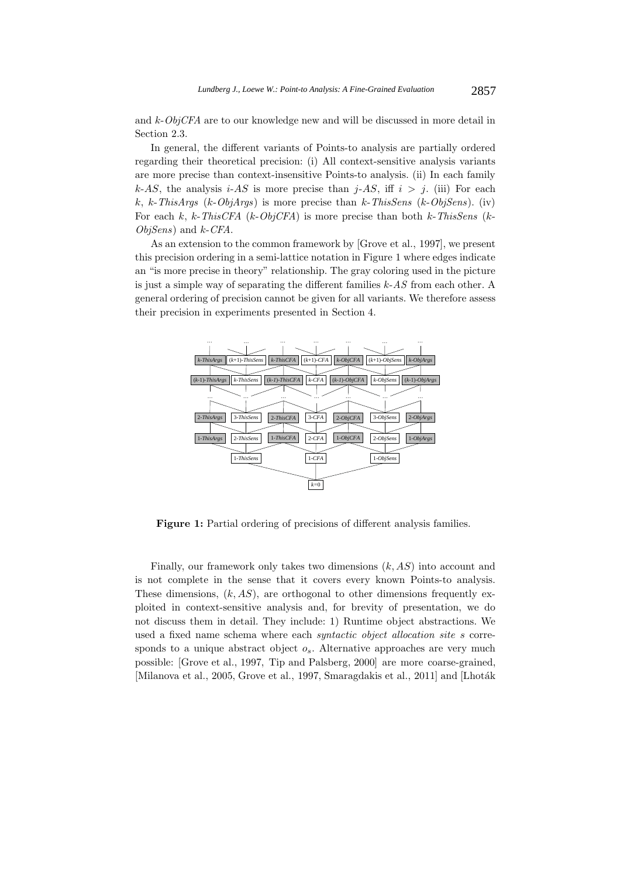and k-*ObjCFA* are to our knowledge new and will be discussed in more detail in Section 2.3.

In general, the different variants of Points-to analysis are partially ordered regarding their theoretical precision: (i) All context-sensitive analysis variants are more precise than context-insensitive Points-to analysis. (ii) In each family k-AS, the analysis i-AS is more precise than  $i$ -AS, iff  $i > j$ . (iii) For each k, k-*ThisArgs* (k-*ObjArgs*) is more precise than k-*ThisSens* (k-*ObjSens*). (iv) For each k, k-*ThisCFA* (k-*ObjCFA*) is more precise than both k-*ThisSens* (k-*ObjSens*) and k-*CFA*.

As an extension to the common framework by [Grove et al., 1997], we present this precision ordering in a semi-lattice notation in Figure 1 where edges indicate an "is more precise in theory" relationship. The gray coloring used in the picture is just a simple way of separating the different families k-*AS* from each other. A general ordering of precision cannot be given for all variants. We therefore assess their precision in experiments presented in Section 4.



**Figure 1:** Partial ordering of precisions of different analysis families.

Finally, our framework only takes two dimensions  $(k, AS)$  into account and is not complete in the sense that it covers every known Points-to analysis. These dimensions,  $(k, AS)$ , are orthogonal to other dimensions frequently exploited in context-sensitive analysis and, for brevity of presentation, we do not discuss them in detail. They include: 1) Runtime object abstractions. We used a fixed name schema where each *syntactic object allocation site* s corresponds to a unique abstract object  $o_s$ . Alternative approaches are very much possible: [Grove et al., 1997, Tip and Palsberg, 2000] are more coarse-grained, [Milanova et al., 2005, Grove et al., 1997, Smaragdakis et al., 2011] and [Lhoták]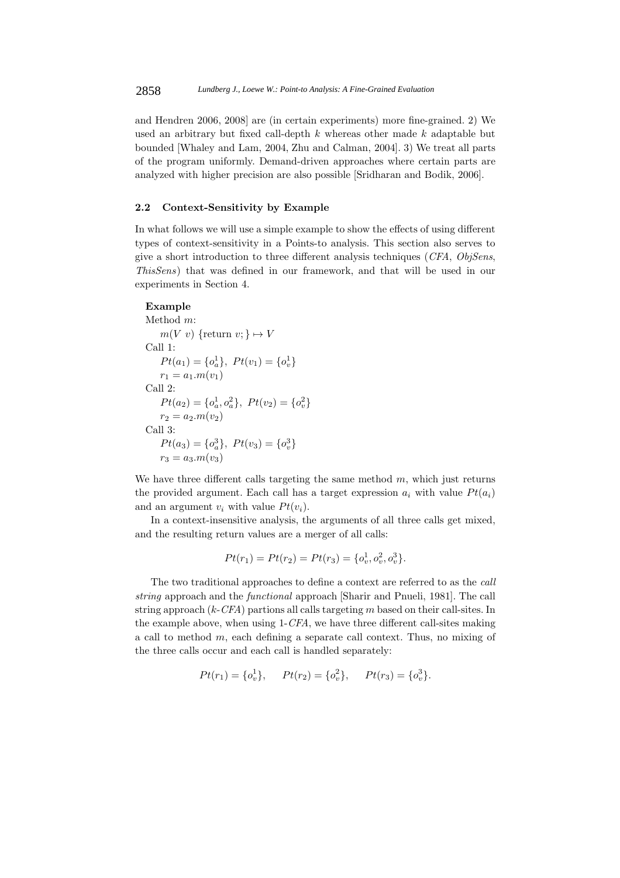and Hendren 2006, 2008] are (in certain experiments) more fine-grained. 2) We used an arbitrary but fixed call-depth  $k$  whereas other made  $k$  adaptable but bounded [Whaley and Lam, 2004, Zhu and Calman, 2004]. 3) We treat all parts of the program uniformly. Demand-driven approaches where certain parts are analyzed with higher precision are also possible [Sridharan and Bodik, 2006].

## **2.2 Context-Sensitivity by Example**

In what follows we will use a simple example to show the effects of using different types of context-sensitivity in a Points-to analysis. This section also serves to give a short introduction to three different analysis techniques (*CFA*, *ObjSens*, *ThisSens*) that was defined in our framework, and that will be used in our experiments in Section 4.

## **Example**

```
Method m:
    m(V \ v) {return v: \} \mapsto VCall 1:
    Pt(a_1) = \{o_a^1\}, \ Pt(v_1) = \{o_v^1\}r_1 = a_1.m(v_1)Call 2:
    Pt(a_2) = \{o_a^1, o_a^2\}, \ Pt(v_2) = \{o_v^2\}r_2 = a_2.m(v_2)Call 3:
    Pt(a_3) = \{o_a^3\}, \ Pt(v_3) = \{o_v^3\}r_3 = a_3.m(v_3)
```
We have three different calls targeting the same method  $m$ , which just returns the provided argument. Each call has a target expression  $a_i$  with value  $Pt(a_i)$ and an argument  $v_i$  with value  $Pt(v_i)$ .

In a context-insensitive analysis, the arguments of all three calls get mixed, and the resulting return values are a merger of all calls:

$$
Pt(r_1) = Pt(r_2) = Pt(r_3) = \{o_v^1, o_v^2, o_v^3\}.
$$

The two traditional approaches to define a context are referred to as the *call string* approach and the *functional* approach [Sharir and Pnueli, 1981]. The call string approach (k-*CFA*) partions all calls targeting m based on their call-sites. In the example above, when using 1-*CFA*, we have three different call-sites making a call to method m, each defining a separate call context. Thus, no mixing of the three calls occur and each call is handled separately:

$$
Pt(r_1) = \{o_v^1\}, \qquad Pt(r_2) = \{o_v^2\}, \qquad Pt(r_3) = \{o_v^3\}.
$$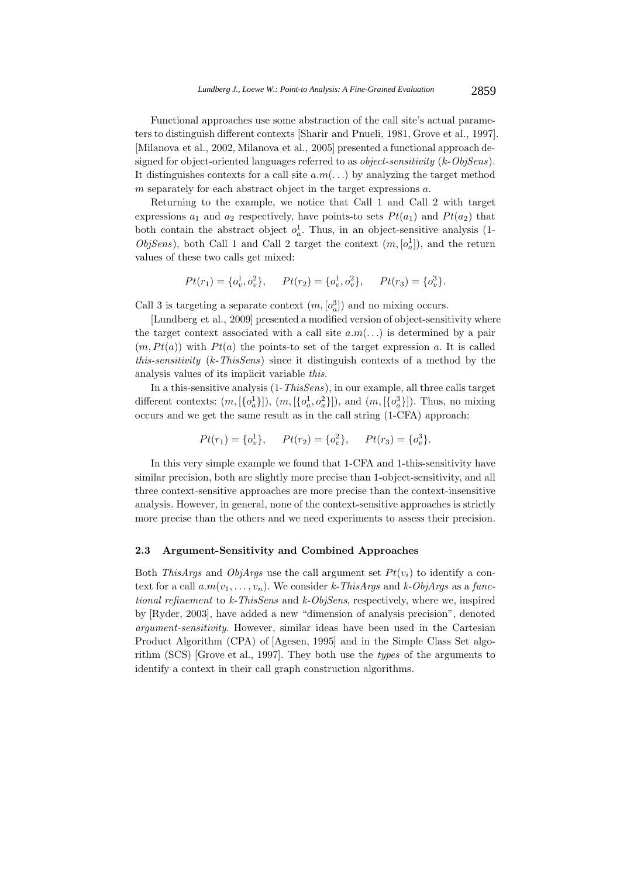Functional approaches use some abstraction of the call site's actual parameters to distinguish different contexts [Sharir and Pnueli, 1981, Grove et al., 1997]. [Milanova et al., 2002, Milanova et al., 2005] presented a functional approach designed for object-oriented languages referred to as *object-sensitivity* (k-*ObjSens*). It distinguishes contexts for a call site  $a.m(...)$  by analyzing the target method m separately for each abstract object in the target expressions  $a$ .

Returning to the example, we notice that Call 1 and Call 2 with target expressions  $a_1$  and  $a_2$  respectively, have points-to sets  $Pt(a_1)$  and  $Pt(a_2)$  that both contain the abstract object  $o_a^1$ . Thus, in an object-sensitive analysis (1-<br>*ChiSena*), both Call 1 and Call 2 terms the contain (m [a<sup>1</sup>]), and the nature *ObjSens*), both Call 1 and Call 2 target the context  $(m, [o_a^1])$ , and the return values of these two calls get mixed. values of these two calls get mixed:

$$
Pt(r_1) = \{o_v^1, o_v^2\}, \qquad Pt(r_2) = \{o_v^1, o_v^2\}, \qquad Pt(r_3) = \{o_v^3\}.
$$

Call 3 is targeting a separate context  $(m, [o_d^3])$  and no mixing occurs.<br><sup>[*I*</sup>] undbeg at al. 2000] presented a modified version of object sensitive

[Lundberg et al., 2009] presented a modified version of object-sensitivity where the target context associated with a call site  $a.m(...)$  is determined by a pair  $(m, Pt(a))$  with  $Pt(a)$  the points-to set of the target expression a. It is called *this-sensitivity* (k-*ThisSens*) since it distinguish contexts of a method by the analysis values of its implicit variable *this*.

In a this-sensitive analysis (1-*ThisSens*), in our example, all three calls target different contexts:  $(m, [\{o_a^1\}]), (m, [\{o_a^1, o_a^2\}]),$  and  $(m, [\{o_a^3\}])$ . Thus, no mixing occurs and we get the same result as in the call string (1-CFA) approach:

$$
Pt(r_1) = \{o_v^1\}, \qquad Pt(r_2) = \{o_v^2\}, \qquad Pt(r_3) = \{o_v^3\}.
$$

In this very simple example we found that 1-CFA and 1-this-sensitivity have similar precision, both are slightly more precise than 1-object-sensitivity, and all three context-sensitive approaches are more precise than the context-insensitive analysis. However, in general, none of the context-sensitive approaches is strictly more precise than the others and we need experiments to assess their precision.

### **2.3 Argument-Sensitivity and Combined Approaches**

Both *ThisArgs* and *ObjArgs* use the call argument set  $Pt(v_i)$  to identify a context for a call  $a.m(v_1,...,v_n)$ . We consider *k*-ThisArgs and *k*-ObjArgs as a func*tional refinement* to *k-ThisSens* and *k-ObjSens*, respectively, where we, inspired by [Ryder, 2003], have added a new "dimension of analysis precision", denoted *argument-sensitivity*. However, similar ideas have been used in the Cartesian Product Algorithm (CPA) of [Agesen, 1995] and in the Simple Class Set algorithm (SCS) [Grove et al., 1997]. They both use the *types* of the arguments to identify a context in their call graph construction algorithms.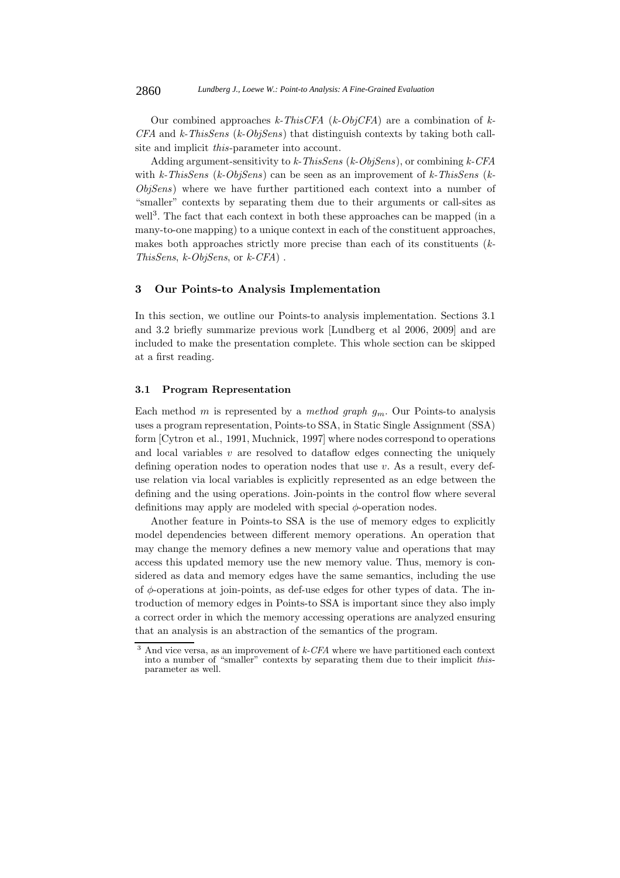Our combined approaches *k-ThisCFA* (*k-ObjCFA*) are a combination of *k-CFA* and *k-ThisSens* (*k-ObjSens*) that distinguish contexts by taking both callsite and implicit *this*-parameter into account.

Adding argument-sensitivity to *k-ThisSens* (*k-ObjSens*), or combining *k-CFA* with *k-ThisSens* (*k-ObjSens*) can be seen as an improvement of *k-ThisSens* (*k-ObjSens*) where we have further partitioned each context into a number of "smaller" contexts by separating them due to their arguments or call-sites as well<sup>3</sup>. The fact that each context in both these approaches can be mapped (in a many-to-one mapping) to a unique context in each of the constituent approaches, makes both approaches strictly more precise than each of its constituents (*k-ThisSens*, *k-ObjSens*, or *k-CFA*) .

# **3 Our Points-to Analysis Implementation**

In this section, we outline our Points-to analysis implementation. Sections 3.1 and 3.2 briefly summarize previous work [Lundberg et al 2006, 2009] and are included to make the presentation complete. This whole section can be skipped at a first reading.

### **3.1 Program Representation**

Each method m is represented by a *method graph* g*<sup>m</sup>*. Our Points-to analysis uses a program representation, Points-to SSA, in Static Single Assignment (SSA) form [Cytron et al., 1991, Muchnick, 1997] where nodes correspond to operations and local variables  $v$  are resolved to dataflow edges connecting the uniquely defining operation nodes to operation nodes that use  $v$ . As a result, every defuse relation via local variables is explicitly represented as an edge between the defining and the using operations. Join-points in the control flow where several definitions may apply are modeled with special  $\phi$ -operation nodes.

Another feature in Points-to SSA is the use of memory edges to explicitly model dependencies between different memory operations. An operation that may change the memory defines a new memory value and operations that may access this updated memory use the new memory value. Thus, memory is considered as data and memory edges have the same semantics, including the use of  $\phi$ -operations at join-points, as def-use edges for other types of data. The introduction of memory edges in Points-to SSA is important since they also imply a correct order in which the memory accessing operations are analyzed ensuring that an analysis is an abstraction of the semantics of the program.

<sup>3</sup> And vice versa, as an improvement of *k-CFA* where we have partitioned each context into a number of "smaller" contexts by separating them due to their implicit *this*- parameter as well.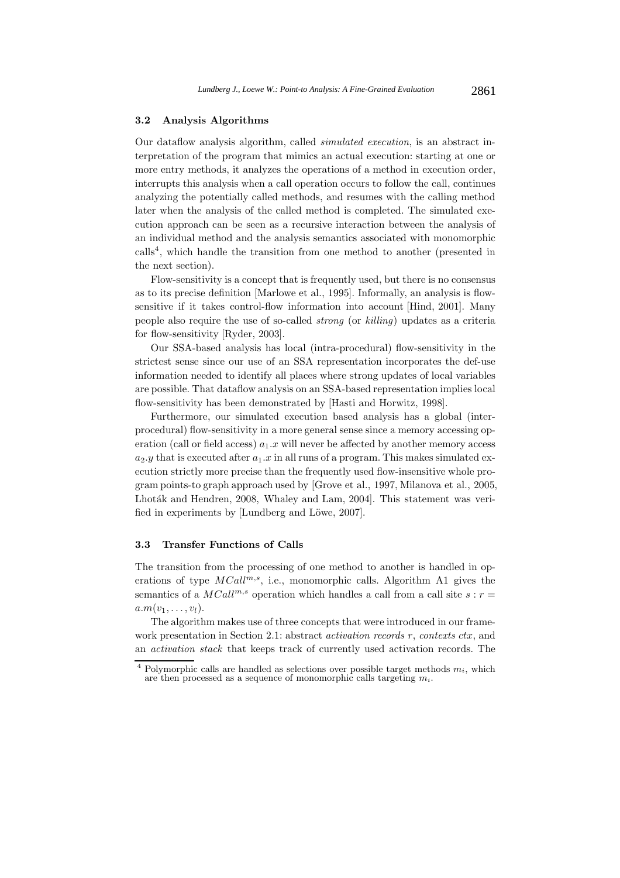#### **3.2 Analysis Algorithms**

Our dataflow analysis algorithm, called *simulated execution*, is an abstract interpretation of the program that mimics an actual execution: starting at one or more entry methods, it analyzes the operations of a method in execution order, interrupts this analysis when a call operation occurs to follow the call, continues analyzing the potentially called methods, and resumes with the calling method later when the analysis of the called method is completed. The simulated execution approach can be seen as a recursive interaction between the analysis of an individual method and the analysis semantics associated with monomorphic  $\text{cells}^4$ , which handle the transition from one method to another (presented in the next section).

Flow-sensitivity is a concept that is frequently used, but there is no consensus as to its precise definition [Marlowe et al., 1995]. Informally, an analysis is flowsensitive if it takes control-flow information into account [Hind, 2001]. Many people also require the use of so-called *strong* (or *killing*) updates as a criteria for flow-sensitivity [Ryder, 2003].

Our SSA-based analysis has local (intra-procedural) flow-sensitivity in the strictest sense since our use of an SSA representation incorporates the def-use information needed to identify all places where strong updates of local variables are possible. That dataflow analysis on an SSA-based representation implies local flow-sensitivity has been demonstrated by [Hasti and Horwitz, 1998].

Furthermore, our simulated execution based analysis has a global (interprocedural) flow-sensitivity in a more general sense since a memory accessing operation (call or field access)  $a_1.x$  will never be affected by another memory access  $a_2.y$  that is executed after  $a_1.x$  in all runs of a program. This makes simulated execution strictly more precise than the frequently used flow-insensitive whole program points-to graph approach used by [Grove et al., 1997, Milanova et al., 2005, Lhoták and Hendren, 2008, Whaley and Lam, 2004]. This statement was verified in experiments by [Lundberg and Löwe, 2007].

### **3.3 Transfer Functions of Calls**

The transition from the processing of one method to another is handled in operations of type  $MCall^{m,s}$ , i.e., monomorphic calls. Algorithm A1 gives the semantics of a  $MCall^{m,s}$  operation which handles a call from a call site  $s : r =$  $a.m(v_1,\ldots,v_l).$ 

The algorithm makes use of three concepts that were introduced in our framework presentation in Section 2.1: abstract *activation records* r, *contexts* ctx, and an *activation stack* that keeps track of currently used activation records. The

<sup>&</sup>lt;sup>4</sup> Polymorphic calls are handled as selections over possible target methods  $m_i$ , which are then processed as a sequence of monomorphic calls targeting *mi*.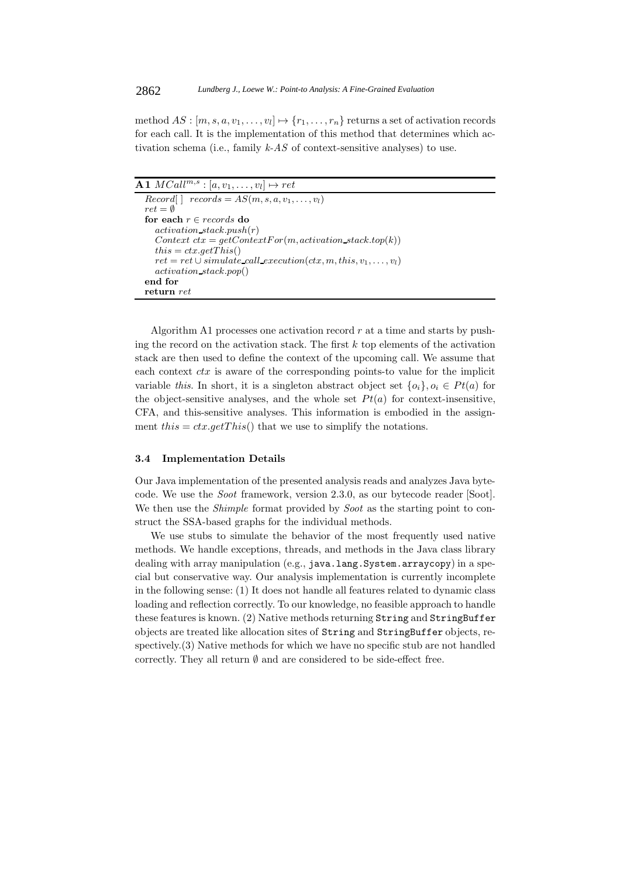method  $AS : [m, s, a, v_1, \ldots, v_l] \mapsto \{r_1, \ldots, r_n\}$  returns a set of activation records for each call. It is the implementation of this method that determines which activation schema (i.e., family *k-AS* of context-sensitive analyses) to use.

```
\overline{A1} \text{ } MCall^{m,s} : [a, v_1, \ldots, v_l] \mapsto ret<br>
\overline{Record|} \mid records = AS(m, s, a, v_1, \ldots, v_l]records = AS(m, s, a, v_1, \ldots, v_l)ret = \emptysetfor each r ∈ records do
      activation stack.push(r)
      Context\,ctx = getContextFor(m, activation\_stack.top(k))this = ctx.getThis()ret = ret \cup simulate\_call\_execution(ctx, m, this, v_1, \ldots, v_l)activation stack.pop()
   end for
   return ret
```
Algorithm A1 processes one activation record  $r$  at a time and starts by pushing the record on the activation stack. The first  $k$  top elements of the activation stack are then used to define the context of the upcoming call. We assume that each context  $\hat{c}tx$  is aware of the corresponding points-to value for the implicit variable *this*. In short, it is a singleton abstract object set  $\{o_i\}, o_i \in Pt(a)$  for the object-sensitive analyses, and the whole set  $Pt(a)$  for context-insensitive, CFA, and this-sensitive analyses. This information is embodied in the assignment this =  $ctx.getThis()$  that we use to simplify the notations.

#### **3.4 Implementation Details**

Our Java implementation of the presented analysis reads and analyzes Java bytecode. We use the *Soot* framework, version 2.3.0, as our bytecode reader [Soot]. We then use the *Shimple* format provided by *Soot* as the starting point to construct the SSA-based graphs for the individual methods.

We use stubs to simulate the behavior of the most frequently used native methods. We handle exceptions, threads, and methods in the Java class library dealing with array manipulation (e.g., java.lang.System.arraycopy) in a special but conservative way. Our analysis implementation is currently incomplete in the following sense: (1) It does not handle all features related to dynamic class loading and reflection correctly. To our knowledge, no feasible approach to handle these features is known. (2) Native methods returning String and StringBuffer objects are treated like allocation sites of String and StringBuffer objects, respectively.(3) Native methods for which we have no specific stub are not handled correctly. They all return  $\emptyset$  and are considered to be side-effect free.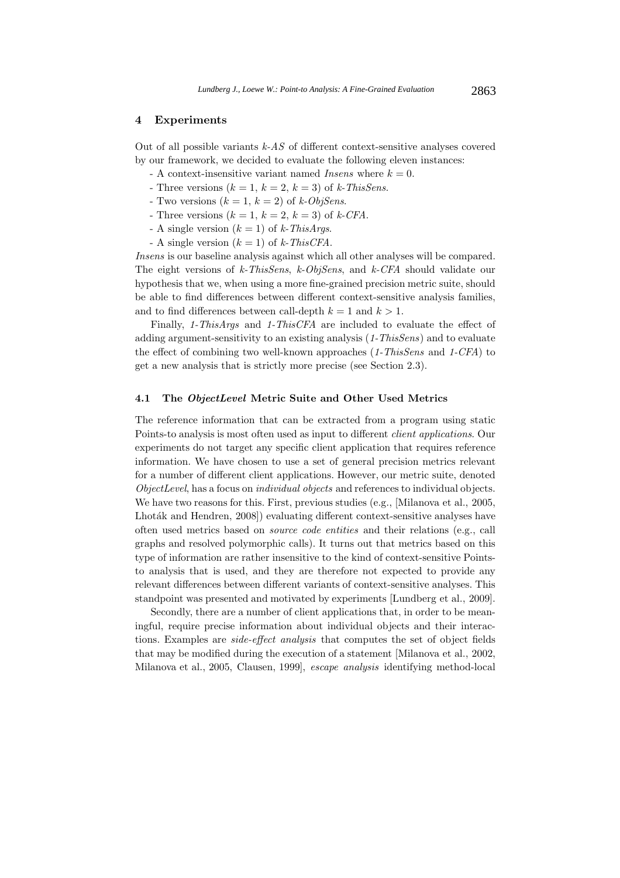## **4 Experiments**

Out of all possible variants *k-AS* of different context-sensitive analyses covered by our framework, we decided to evaluate the following eleven instances:

- $-$  A context-insensitive variant named *Insens* where  $k = 0$ .
- Three versions  $(k = 1, k = 2, k = 3)$  of *k*-ThisSens.
- Two versions  $(k = 1, k = 2)$  of  $k$ -*ObjSens*.
- Three versions  $(k = 1, k = 2, k = 3)$  of  $k$ -CFA.
- A single version (k = 1) of *k-ThisArgs*.
- A single version  $(k = 1)$  of  $k$ -ThisCFA.

*Insens* is our baseline analysis against which all other analyses will be compared. The eight versions of *k-ThisSens*, *k-ObjSens*, and *k-CFA* should validate our hypothesis that we, when using a more fine-grained precision metric suite, should be able to find differences between different context-sensitive analysis families, and to find differences between call-depth  $k = 1$  and  $k > 1$ .

Finally, *1-ThisArgs* and *1-ThisCFA* are included to evaluate the effect of adding argument-sensitivity to an existing analysis (*1-ThisSens*) and to evaluate the effect of combining two well-known approaches (*1-ThisSens* and *1-CFA*) to get a new analysis that is strictly more precise (see Section 2.3).

#### **4.1 The** *ObjectLevel* **Metric Suite and Other Used Metrics**

The reference information that can be extracted from a program using static Points-to analysis is most often used as input to different *client applications*. Our experiments do not target any specific client application that requires reference information. We have chosen to use a set of general precision metrics relevant for a number of different client applications. However, our metric suite, denoted *ObjectLevel*, has a focus on *individual objects* and references to individual objects. We have two reasons for this. First, previous studies (e.g., [Milanova et al., 2005, Lhoták and Hendren, 2008) evaluating different context-sensitive analyses have often used metrics based on *source code entities* and their relations (e.g., call graphs and resolved polymorphic calls). It turns out that metrics based on this type of information are rather insensitive to the kind of context-sensitive Pointsto analysis that is used, and they are therefore not expected to provide any relevant differences between different variants of context-sensitive analyses. This standpoint was presented and motivated by experiments [Lundberg et al., 2009].

Secondly, there are a number of client applications that, in order to be meaningful, require precise information about individual objects and their interactions. Examples are *side-effect analysis* that computes the set of object fields that may be modified during the execution of a statement [Milanova et al., 2002, Milanova et al., 2005, Clausen, 1999], *escape analysis* identifying method-local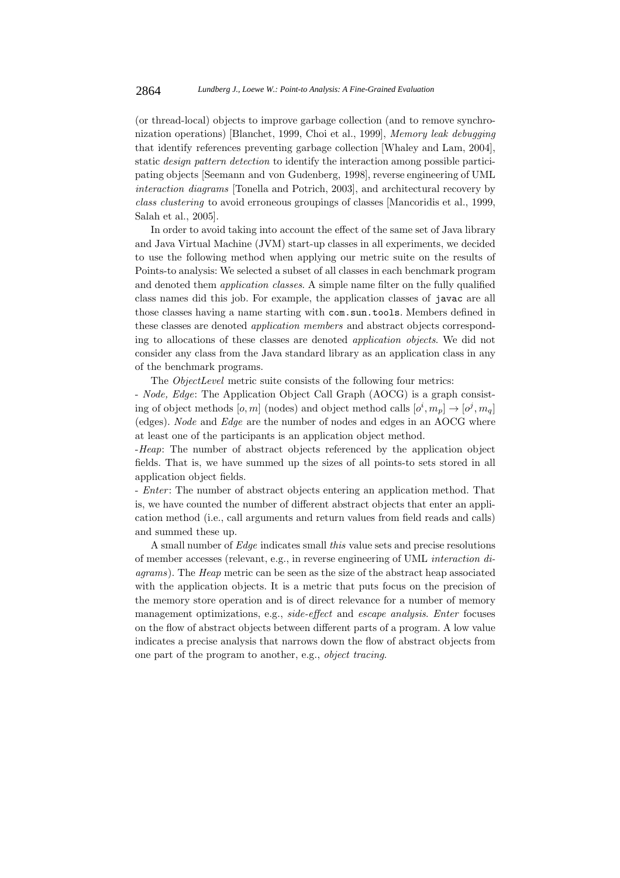(or thread-local) objects to improve garbage collection (and to remove synchronization operations) [Blanchet, 1999, Choi et al., 1999], *Memory leak debugging* that identify references preventing garbage collection [Whaley and Lam, 2004], static *design pattern detection* to identify the interaction among possible participating objects [Seemann and von Gudenberg, 1998], reverse engineering of UML *interaction diagrams* [Tonella and Potrich, 2003], and architectural recovery by *class clustering* to avoid erroneous groupings of classes [Mancoridis et al., 1999, Salah et al., 2005].

In order to avoid taking into account the effect of the same set of Java library and Java Virtual Machine (JVM) start-up classes in all experiments, we decided to use the following method when applying our metric suite on the results of Points-to analysis: We selected a subset of all classes in each benchmark program and denoted them *application classes*. A simple name filter on the fully qualified class names did this job. For example, the application classes of javac are all those classes having a name starting with com.sun.tools. Members defined in these classes are denoted *application members* and abstract objects corresponding to allocations of these classes are denoted *application objects*. We did not consider any class from the Java standard library as an application class in any of the benchmark programs.

The *ObjectLevel* metric suite consists of the following four metrics:

- *Node, Edge*: The Application Object Call Graph (AOCG) is a graph consisting of object methods  $[o, m]$  (nodes) and object method calls  $[o^i, m_p] \rightarrow [o^j, m_q]$ <br>(odge). Node and *Edge* are the number of nodes and edges in an AOCC where (edges). *Node* and *Edge* are the number of nodes and edges in an AOCG where at least one of the participants is an application object method.

-*Heap*: The number of abstract objects referenced by the application object fields. That is, we have summed up the sizes of all points-to sets stored in all application object fields.

- *Enter*: The number of abstract objects entering an application method. That is, we have counted the number of different abstract objects that enter an application method (i.e., call arguments and return values from field reads and calls) and summed these up.

A small number of *Edge* indicates small *this* value sets and precise resolutions of member accesses (relevant, e.g., in reverse engineering of UML *interaction diagrams*). The *Heap* metric can be seen as the size of the abstract heap associated with the application objects. It is a metric that puts focus on the precision of the memory store operation and is of direct relevance for a number of memory management optimizations, e.g., *side-effect* and *escape analysis*. *Enter* focuses on the flow of abstract objects between different parts of a program. A low value indicates a precise analysis that narrows down the flow of abstract objects from one part of the program to another, e.g., *object tracing*.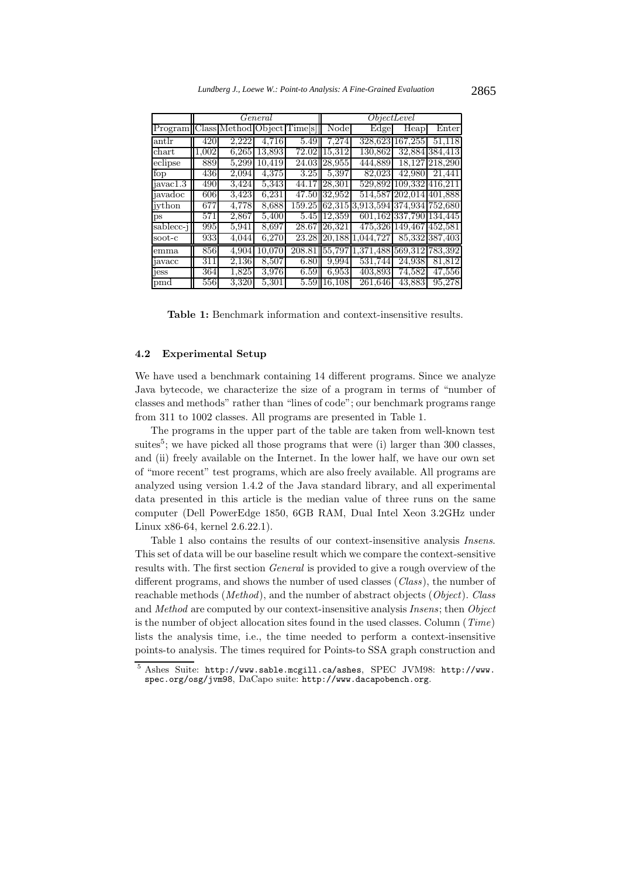|                             | General      |                     |        |                    | ObjectLevel  |                                          |                         |                     |
|-----------------------------|--------------|---------------------|--------|--------------------|--------------|------------------------------------------|-------------------------|---------------------|
| Program                     | <b>Class</b> | Method Object Times |        |                    | Node         | Edge                                     | Heap                    | Enter               |
| antlr                       | 420          | 2,222               | 4.716  | 5.49               | 7.274        | 328,623                                  | 167,255                 | 51,118              |
| $chart$                     | 1,002        | 6.265               | 13.893 | $\overline{72.02}$ | 15.312       | 130,862                                  |                         | 32,884 384,413      |
| $\overline{\text{eclipse}}$ | 889          | 5,299               | 10,419 |                    | 24.03 28,955 | 444,889                                  |                         | 18,127 218,290      |
| fop                         | 436          | 2,094               | 4.375  | 3.25               | 5.397        | 82,023                                   | 42,980                  | 21.441              |
| javac1.3                    | 490          | 3,424               | 5,343  | 44.17              | 28,301       |                                          | 529,892 109,332 416,211 |                     |
| javadoc                     | 606          | 3.423               | 6,231  |                    | 47.50 32,952 |                                          | 514,587 202,014 401,888 |                     |
| jython                      | 677          | 4,778               | 8,688  |                    |              | 159.25  62,315 3,913,594 374,934 752,680 |                         |                     |
| ps                          | 571          | 2,867               | 5,400  |                    | 5.45 12.359  |                                          | 601,162 337,790 134,445 |                     |
| sablecc-j                   | 995          | 5,941               | 8,697  |                    | 28.67 26,321 |                                          | 475,326 149,467 452,581 |                     |
| soot-c                      | 933          | 4,044               | 6,270  | 23.28              |              | 20, 188 1.044, 727                       |                         | 85,332 387,403      |
| emma                        | 856          | 4,904               | 10,070 | 208.81             | 55,797       | 1,371,488 569,312 783,392                |                         |                     |
| javacc                      | 311          | 2,136               | 8,507  | 6.80               | 9.994        | 531,744                                  | 24,938                  | 81,812              |
| jess                        | 364          | 1,825               | 3,976  | 6.59               | 6,953        | 403,893                                  | 74.582                  | $\overline{47,556}$ |
| pmd                         | 556          | 3,320               | 5,301  | 5.59               | 16,108       | 261,646                                  | 43,883                  | 95,278              |

**Table 1:** Benchmark information and context-insensitive results.

## **4.2 Experimental Setup**

We have used a benchmark containing 14 different programs. Since we analyze Java bytecode, we characterize the size of a program in terms of "number of classes and methods" rather than "lines of code"; our benchmark programs range from 311 to 1002 classes. All programs are presented in Table 1.

The programs in the upper part of the table are taken from well-known test suites<sup>5</sup>; we have picked all those programs that were (i) larger than 300 classes, and (ii) freely available on the Internet. In the lower half, we have our own set of "more recent" test programs, which are also freely available. All programs are analyzed using version 1.4.2 of the Java standard library, and all experimental data presented in this article is the median value of three runs on the same computer (Dell PowerEdge 1850, 6GB RAM, Dual Intel Xeon 3.2GHz under Linux x86-64, kernel 2.6.22.1).

Table 1 also contains the results of our context-insensitive analysis *Insens*. This set of data will be our baseline result which we compare the context-sensitive results with. The first section *General* is provided to give a rough overview of the different programs, and shows the number of used classes (*Class*), the number of reachable methods (*Method*), and the number of abstract objects (*Object*). *Class* and *Method* are computed by our context-insensitive analysis *Insens*; then *Object* is the number of object allocation sites found in the used classes. Column (*Time*) lists the analysis time, i.e., the time needed to perform a context-insensitive points-to analysis. The times required for Points-to SSA graph construction and

<sup>5</sup> Ashes Suite: http://www.sable.mcgill.ca/ashes, SPEC JVM98: http://www. spec.org/osg/jvm98, DaCapo suite: http://www.dacapobench.org.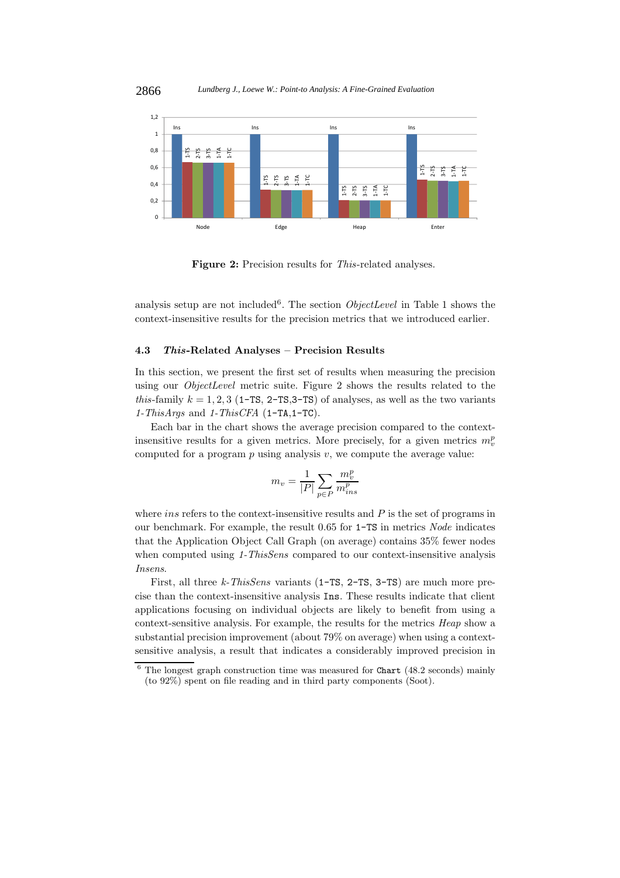

**Figure 2:** Precision results for *This*-related analyses.

analysis setup are not included<sup>6</sup>. The section *ObjectLevel* in Table 1 shows the context-insensitive results for the precision metrics that we introduced earlier.

## **4.3** *This***-Related Analyses – Precision Results**

In this section, we present the first set of results when measuring the precision using our *ObjectLevel* metric suite. Figure 2 shows the results related to the *this*-family  $k = 1, 2, 3$  (1-TS, 2-TS, 3-TS) of analyses, as well as the two variants *1-ThisArgs* and *1-ThisCFA* (1-TA,1-TC).

Each bar in the chart shows the average precision compared to the contextinsensitive results for a given metrics. More precisely, for a given metrics  $m_v^p$ <br>computed for a precise policie with a support the support value. computed for a program  $p$  using analysis  $v$ , we compute the average value:

$$
m_v = \frac{1}{|P|} \sum_{p \in P} \frac{m_v^p}{m_{ins}^p}
$$

where *ins* refers to the context-insensitive results and  $P$  is the set of programs in our benchmark. For example, the result 0.65 for 1-TS in metrics *Node* indicates that the Application Object Call Graph (on average) contains 35% fewer nodes when computed using *1-ThisSens* compared to our context-insensitive analysis *Insens*.

First, all three *k-ThisSens* variants (1-TS, 2-TS, 3-TS) are much more precise than the context-insensitive analysis Ins. These results indicate that client applications focusing on individual objects are likely to benefit from using a context-sensitive analysis. For example, the results for the metrics *Heap* show a substantial precision improvement (about 79% on average) when using a contextsensitive analysis, a result that indicates a considerably improved precision in

 $\frac{6}{6}$  The longest graph construction time was measured for Chart (48.2 seconds) mainly (to 92%) spent on file reading and in third party components (Soot).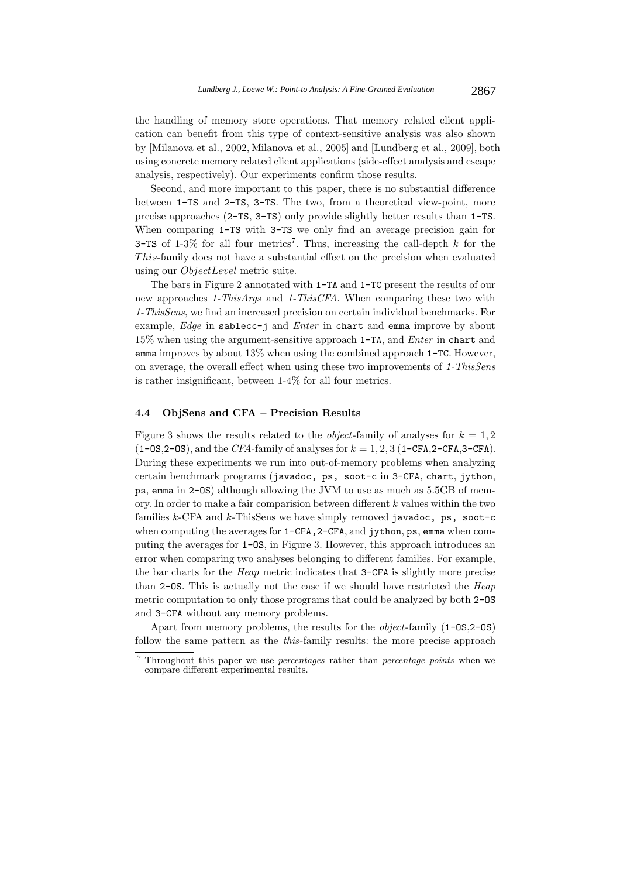the handling of memory store operations. That memory related client application can benefit from this type of context-sensitive analysis was also shown by [Milanova et al., 2002, Milanova et al., 2005] and [Lundberg et al., 2009], both using concrete memory related client applications (side-effect analysis and escape analysis, respectively). Our experiments confirm those results.

Second, and more important to this paper, there is no substantial difference between 1-TS and 2-TS, 3-TS. The two, from a theoretical view-point, more precise approaches (2-TS, 3-TS) only provide slightly better results than 1-TS. When comparing 1-TS with 3-TS we only find an average precision gain for 3-TS of 1-3% for all four metrics<sup>7</sup>. Thus, increasing the call-depth k for the This-family does not have a substantial effect on the precision when evaluated using our ObjectLevel metric suite.

The bars in Figure 2 annotated with 1-TA and 1-TC present the results of our new approaches *1-ThisArgs* and *1-ThisCFA*. When comparing these two with *1-ThisSens*, we find an increased precision on certain individual benchmarks. For example, *Edge* in sablecc-j and *Enter* in chart and emma improve by about 15% when using the argument-sensitive approach 1-TA, and *Enter* in chart and emma improves by about 13% when using the combined approach 1-TC. However, on average, the overall effect when using these two improvements of *1-ThisSens* is rather insignificant, between 1-4% for all four metrics.

## **4.4 ObjSens and CFA – Precision Results**

Figure 3 shows the results related to the *object*-family of analyses for  $k = 1, 2$  $(1-\text{OS},2-\text{OS})$ , and the *CFA*-family of analyses for  $k = 1, 2, 3$  (1-CFA, 2-CFA, 3-CFA). During these experiments we run into out-of-memory problems when analyzing certain benchmark programs (javadoc, ps, soot-c in 3-CFA, chart, jython, ps, emma in 2-OS) although allowing the JVM to use as much as 5.5GB of memory. In order to make a fair comparision between different  $k$  values within the two families  $k$ -CFA and  $k$ -ThisSens we have simply removed javadoc, ps, soot-c when computing the averages for  $1$ -CFA,  $2$ -CFA, and jython, ps, emma when computing the averages for 1-OS, in Figure 3. However, this approach introduces an error when comparing two analyses belonging to different families. For example, the bar charts for the *Heap* metric indicates that 3-CFA is slightly more precise than 2-OS. This is actually not the case if we should have restricted the *Heap* metric computation to only those programs that could be analyzed by both 2-OS and 3-CFA without any memory problems.

Apart from memory problems, the results for the *object*-family (1-OS,2-OS) follow the same pattern as the *this*-family results: the more precise approach

<sup>7</sup> Throughout this paper we use *percentages* rather than *percentage points* when we compare different experimental results.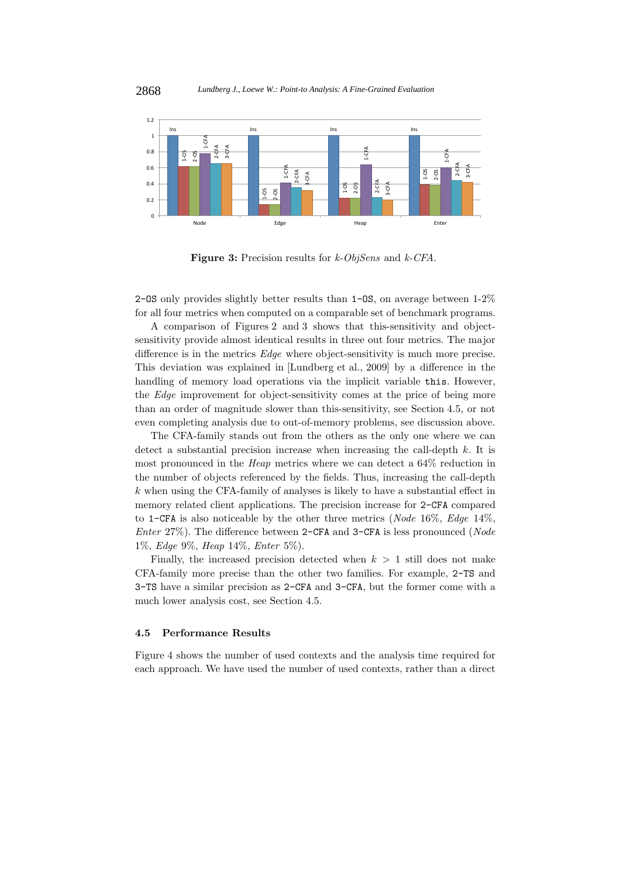

**Figure 3:** Precision results for *k-ObjSens* and *k-CFA*.

2-OS only provides slightly better results than 1-OS, on average between 1-2% for all four metrics when computed on a comparable set of benchmark programs.

A comparison of Figures 2 and 3 shows that this-sensitivity and objectsensitivity provide almost identical results in three out four metrics. The major difference is in the metrics *Edge* where object-sensitivity is much more precise. This deviation was explained in [Lundberg et al., 2009] by a difference in the handling of memory load operations via the implicit variable this. However, the *Edge* improvement for object-sensitivity comes at the price of being more than an order of magnitude slower than this-sensitivity, see Section 4.5, or not even completing analysis due to out-of-memory problems, see discussion above.

The CFA-family stands out from the others as the only one where we can detect a substantial precision increase when increasing the call-depth  $k$ . It is most pronounced in the *Heap* metrics where we can detect a 64% reduction in the number of objects referenced by the fields. Thus, increasing the call-depth k when using the CFA-family of analyses is likely to have a substantial effect in memory related client applications. The precision increase for 2-CFA compared to 1-CFA is also noticeable by the other three metrics (*Node* 16%, *Edge* 14%, *Enter* 27%). The difference between 2-CFA and 3-CFA is less pronounced (*Node* 1%, *Edge* 9%, *Heap* 14%, *Enter* 5%).

Finally, the increased precision detected when  $k > 1$  still does not make CFA-family more precise than the other two families. For example, 2-TS and 3-TS have a similar precision as 2-CFA and 3-CFA, but the former come with a much lower analysis cost, see Section 4.5.

## **4.5 Performance Results**

Figure 4 shows the number of used contexts and the analysis time required for each approach. We have used the number of used contexts, rather than a direct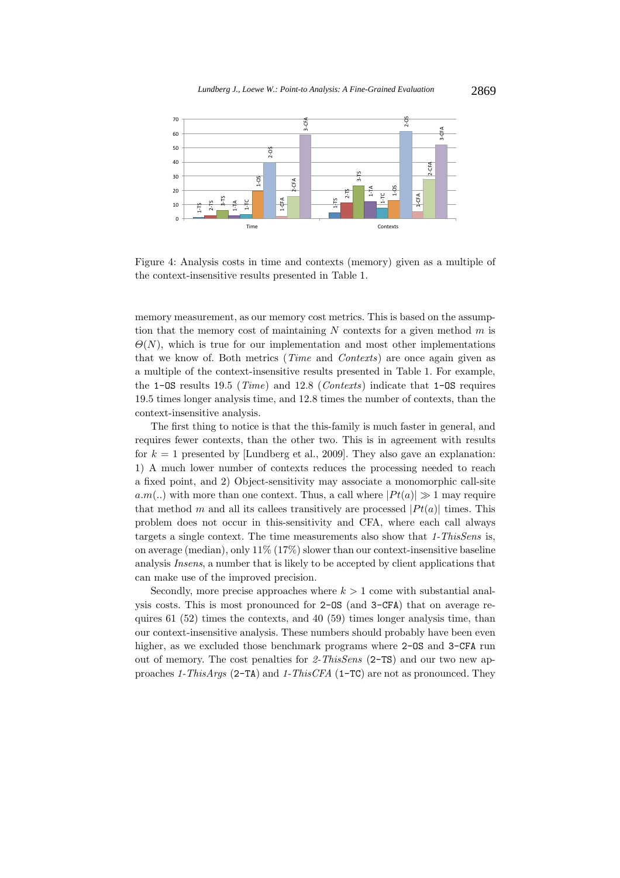

Figure 4: Analysis costs in time and contexts (memory) given as a multiple of the context-insensitive results presented in Table 1.

memory measurement, as our memory cost metrics. This is based on the assumption that the memory cost of maintaining  $N$  contexts for a given method  $m$  is  $\Theta(N)$ , which is true for our implementation and most other implementations that we know of. Both metrics (*Time* and *Contexts*) are once again given as a multiple of the context-insensitive results presented in Table 1. For example, the 1-OS results 19.5 (*Time*) and 12.8 (*Contexts*) indicate that 1-OS requires 19.5 times longer analysis time, and 12.8 times the number of contexts, than the context-insensitive analysis.

The first thing to notice is that the this-family is much faster in general, and requires fewer contexts, than the other two. This is in agreement with results for  $k = 1$  presented by [Lundberg et al., 2009]. They also gave an explanation: 1) A much lower number of contexts reduces the processing needed to reach a fixed point, and 2) Object-sensitivity may associate a monomorphic call-site  $a.m(.)$  with more than one context. Thus, a call where  $|Pt(a)| \gg 1$  may require that method m and all its callees transitively are processed  $|P_t(a)|$  times. This problem does not occur in this-sensitivity and CFA, where each call always targets a single context. The time measurements also show that *1-ThisSens* is, on average (median), only  $11\%$  (17%) slower than our context-insensitive baseline analysis *Insens*, a number that is likely to be accepted by client applications that can make use of the improved precision.

Secondly, more precise approaches where  $k > 1$  come with substantial analysis costs. This is most pronounced for 2-OS (and 3-CFA) that on average requires 61 (52) times the contexts, and 40 (59) times longer analysis time, than our context-insensitive analysis. These numbers should probably have been even higher, as we excluded those benchmark programs where 2-0S and 3-CFA run out of memory. The cost penalties for *2-ThisSens* (2-TS) and our two new approaches *1-ThisArgs* (2-TA) and *1-ThisCFA* (1-TC) are not as pronounced. They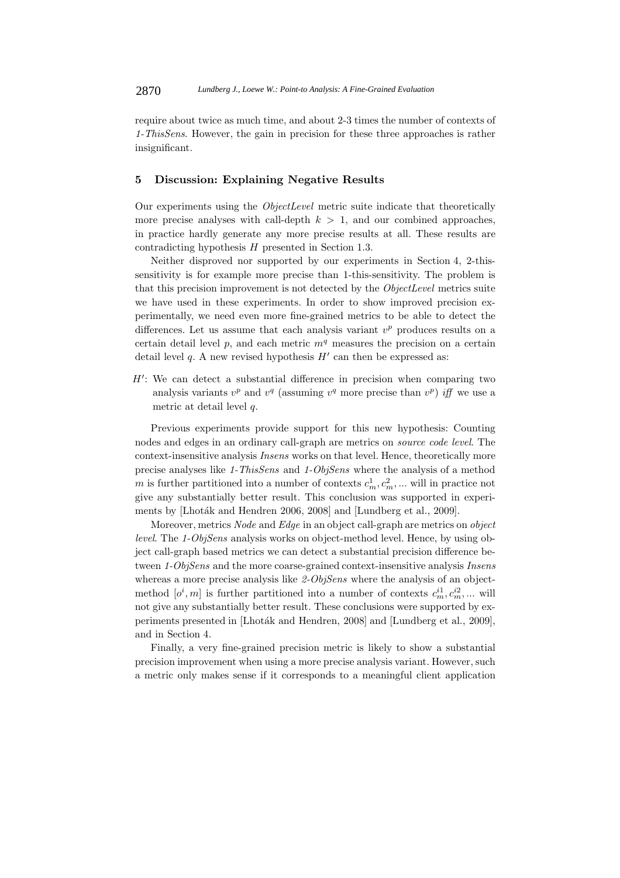require about twice as much time, and about 2-3 times the number of contexts of *1-ThisSens*. However, the gain in precision for these three approaches is rather insignificant.

### **5 Discussion: Explaining Negative Results**

Our experiments using the *ObjectLevel* metric suite indicate that theoretically more precise analyses with call-depth  $k > 1$ , and our combined approaches, in practice hardly generate any more precise results at all. These results are contradicting hypothesis H presented in Section 1.3.

Neither disproved nor supported by our experiments in Section 4, 2-thissensitivity is for example more precise than 1-this-sensitivity. The problem is that this precision improvement is not detected by the *ObjectLevel* metrics suite we have used in these experiments. In order to show improved precision experimentally, we need even more fine-grained metrics to be able to detect the differences. Let us assume that each analysis variant v*<sup>p</sup>* produces results on a certain detail level  $p$ , and each metric  $m<sup>q</sup>$  measures the precision on a certain detail level  $q$ . A new revised hypothesis  $H'$  can then be expressed as:

 $H'$ : We can detect a substantial difference in precision when comparing two<br>conclusion wints  $x^p$  and  $x^q$  (equation  $x^q$  mean precise than  $x^p$ ) if we use a analysis variants  $v^p$  and  $v^q$  (assuming  $v^q$  more precise than  $v^p$ ) *iff* we use a metric at detail level  $q$ .

Previous experiments provide support for this new hypothesis: Counting nodes and edges in an ordinary call-graph are metrics on *source code level*. The context-insensitive analysis *Insens* works on that level. Hence, theoretically more precise analyses like *1-ThisSens* and *1-ObjSens* where the analysis of a method m is further partitioned into a number of contexts  $c_m^1, c_m^2, \dots$  will in practice not<br>*give* any substantially better result. This conclusion was supported in synonic give any substantially better result. This conclusion was supported in experiments by [Lhoták and Hendren 2006, 2008] and [Lundberg et al., 2009].

Moreover, metrics *Node* and *Edge* in an object call-graph are metrics on *object level*. The *1-ObjSens* analysis works on object-method level. Hence, by using object call-graph based metrics we can detect a substantial precision difference between *1-ObjSens* and the more coarse-grained context-insensitive analysis *Insens* whereas a more precise analysis like *2-ObjSens* where the analysis of an objectmethod  $[o^i, m]$  is further partitioned into a number of contexts  $c_m^{i1}, c_m^{i2}, \ldots$  will not give any substantially better result. These conclusions were supported by experiments presented in [Lhoták and Hendren, 2008] and [Lundberg et al., 2009], and in Section 4.

Finally, a very fine-grained precision metric is likely to show a substantial precision improvement when using a more precise analysis variant. However, such a metric only makes sense if it corresponds to a meaningful client application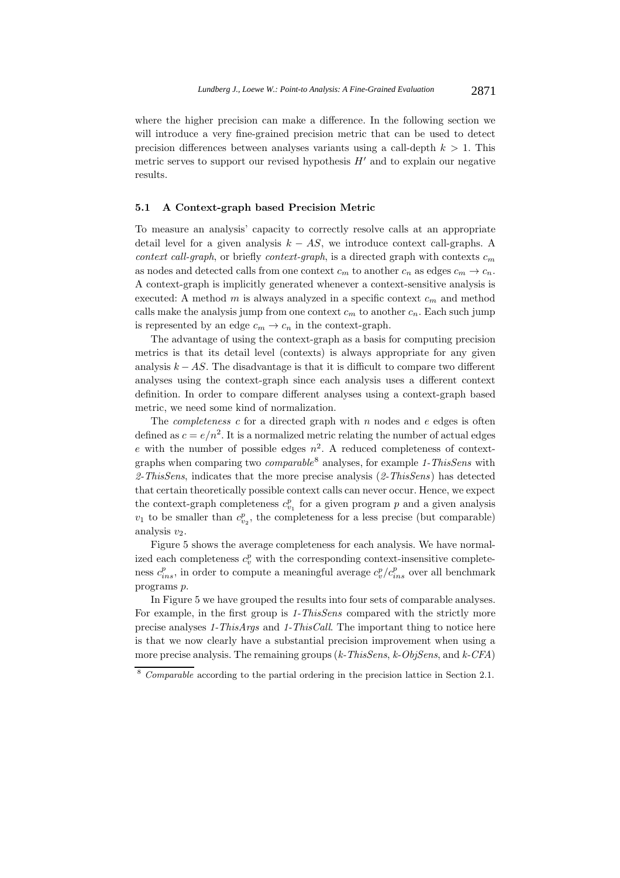where the higher precision can make a difference. In the following section we will introduce a very fine-grained precision metric that can be used to detect precision differences between analyses variants using a call-depth  $k > 1$ . This metric serves to support our revised hypothesis  $H'$  and to explain our negative results. results.

## **5.1 A Context-graph based Precision Metric**

To measure an analysis' capacity to correctly resolve calls at an appropriate detail level for a given analysis  $k - AS$ , we introduce context call-graphs. A *context call-graph*, or briefly *context-graph*, is a directed graph with contexts <sup>c</sup>*<sup>m</sup>* as nodes and detected calls from one context  $c_m$  to another  $c_n$  as edges  $c_m \to c_n$ . A context-graph is implicitly generated whenever a context-sensitive analysis is executed: A method <sup>m</sup> is always analyzed in a specific context <sup>c</sup>*<sup>m</sup>* and method calls make the analysis jump from one context  $c_m$  to another  $c_n$ . Each such jump is represented by an edge  $c_m \to c_n$  in the context-graph.

The advantage of using the context-graph as a basis for computing precision metrics is that its detail level (contexts) is always appropriate for any given analysis  $k - AS$ . The disadvantage is that it is difficult to compare two different analyses using the context-graph since each analysis uses a different context definition. In order to compare different analyses using a context-graph based metric, we need some kind of normalization.

The *completeness*  $c$  for a directed graph with  $n$  nodes and  $e$  edges is often defined as  $c = e/n^2$ . It is a normalized metric relating the number of actual edges e with the number of possible edges  $n^2$ . A reduced completeness of contextgraphs when comparing two *comparable*<sup>8</sup> analyses, for example *1-ThisSens* with *2-ThisSens*, indicates that the more precise analysis (*2-ThisSens*) has detected that certain theoretically possible context calls can never occur. Hence, we expect the context-graph completeness  $c_{v_1}^p$  for a given program p and a given analysis  $v_1$ , to be smaller than  $c_p^p$ , the completeness for a loss progise (but comparable)  $v_1$  to be smaller than  $c_{v_2}^p$ , the completeness for a less precise (but comparable) analysis  $v_2$ .

Figure 5 shows the average completeness for each analysis. We have normalized each completeness  $c_v^p$  with the corresponding context-insensitive complete-<br>next  $c_v^p$  in order to compute a meaningful evening  $c_v^p/c_v^p$  such all handmark ness  $c_{ins}^p$ , in order to compute a meaningful average  $c_v^p/c_{ins}^p$  over all benchmark programs p.

In Figure 5 we have grouped the results into four sets of comparable analyses. For example, in the first group is *1-ThisSens* compared with the strictly more precise analyses *1-ThisArgs* and *1-ThisCall*. The important thing to notice here is that we now clearly have a substantial precision improvement when using a more precise analysis. The remaining groups (*k-ThisSens*, *k-ObjSens*, and *k-CFA*)

<sup>8</sup> *Comparable* according to the partial ordering in the precision lattice in Section 2.1.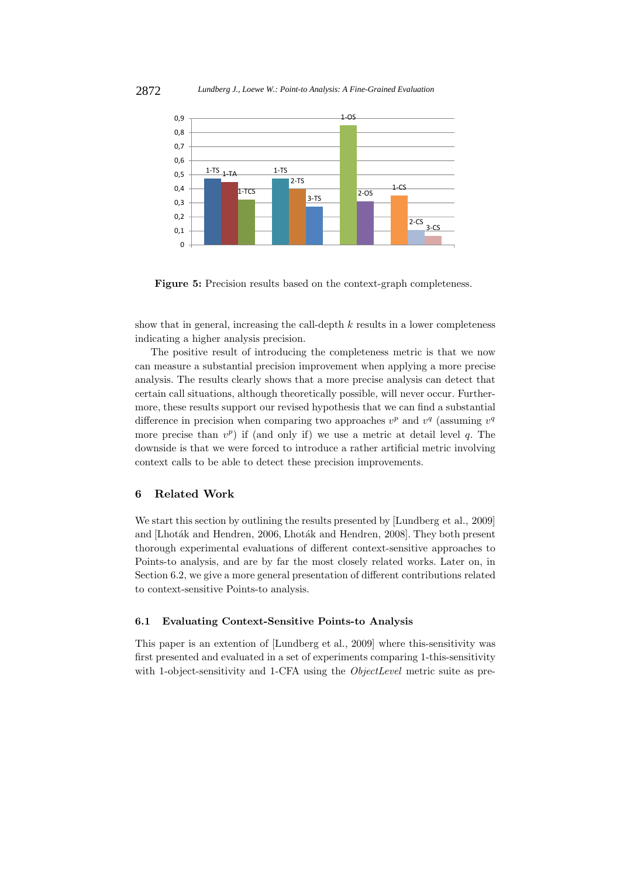

**Figure 5:** Precision results based on the context-graph completeness.

show that in general, increasing the call-depth  $k$  results in a lower completeness indicating a higher analysis precision.

The positive result of introducing the completeness metric is that we now can measure a substantial precision improvement when applying a more precise analysis. The results clearly shows that a more precise analysis can detect that certain call situations, although theoretically possible, will never occur. Furthermore, these results support our revised hypothesis that we can find a substantial difference in precision when comparing two approaches  $v^p$  and  $v^q$  (assuming  $v^q$ more precise than  $v^p$ ) if (and only if) we use a metric at detail level q. The downside is that we were forced to introduce a rather artificial metric involving context calls to be able to detect these precision improvements.

#### **6 Related Work**

We start this section by outlining the results presented by [Lundberg et al., 2009] and [Lhoták and Hendren, 2006, Lhoták and Hendren, 2008]. They both present thorough experimental evaluations of different context-sensitive approaches to Points-to analysis, and are by far the most closely related works. Later on, in Section 6.2, we give a more general presentation of different contributions related to context-sensitive Points-to analysis.

## **6.1 Evaluating Context-Sensitive Points-to Analysis**

This paper is an extention of [Lundberg et al., 2009] where this-sensitivity was first presented and evaluated in a set of experiments comparing 1-this-sensitivity with 1-object-sensitivity and 1-CFA using the *ObjectLevel* metric suite as pre-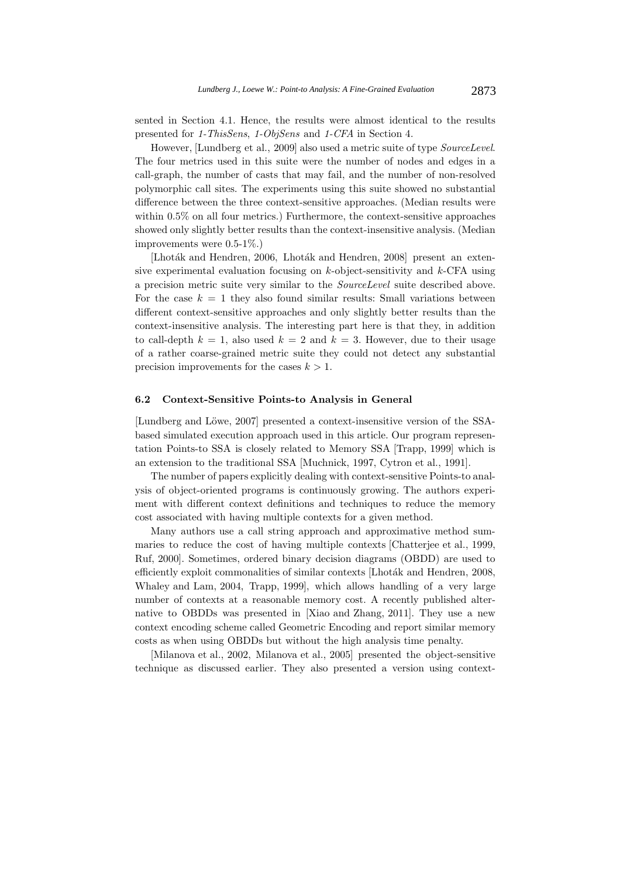sented in Section 4.1. Hence, the results were almost identical to the results presented for *1-ThisSens*, *1-ObjSens* and *1-CFA* in Section 4.

However, [Lundberg et al., 2009] also used a metric suite of type *SourceLevel*. The four metrics used in this suite were the number of nodes and edges in a call-graph, the number of casts that may fail, and the number of non-resolved polymorphic call sites. The experiments using this suite showed no substantial difference between the three context-sensitive approaches. (Median results were within 0.5% on all four metrics.) Furthermore, the context-sensitive approaches showed only slightly better results than the context-insensitive analysis. (Median improvements were 0.5-1%.)

[Lhoták and Hendren, 2006, Lhoták and Hendren, 2008] present an extensive experimental evaluation focusing on  $k$ -object-sensitivity and  $k$ -CFA using a precision metric suite very similar to the *SourceLevel* suite described above. For the case  $k = 1$  they also found similar results: Small variations between different context-sensitive approaches and only slightly better results than the context-insensitive analysis. The interesting part here is that they, in addition to call-depth  $k = 1$ , also used  $k = 2$  and  $k = 3$ . However, due to their usage of a rather coarse-grained metric suite they could not detect any substantial precision improvements for the cases  $k > 1$ .

### **6.2 Context-Sensitive Points-to Analysis in General**

[Lundberg and Löwe, 2007] presented a context-insensitive version of the SSAbased simulated execution approach used in this article. Our program representation Points-to SSA is closely related to Memory SSA [Trapp, 1999] which is an extension to the traditional SSA [Muchnick, 1997, Cytron et al., 1991].

The number of papers explicitly dealing with context-sensitive Points-to analysis of object-oriented programs is continuously growing. The authors experiment with different context definitions and techniques to reduce the memory cost associated with having multiple contexts for a given method.

Many authors use a call string approach and approximative method summaries to reduce the cost of having multiple contexts [Chatterjee et al., 1999, Ruf, 2000]. Sometimes, ordered binary decision diagrams (OBDD) are used to efficiently exploit commonalities of similar contexts [Lhoták and Hendren, 2008, Whaley and Lam, 2004, Trapp, 1999], which allows handling of a very large number of contexts at a reasonable memory cost. A recently published alternative to OBDDs was presented in [Xiao and Zhang, 2011]. They use a new context encoding scheme called Geometric Encoding and report similar memory costs as when using OBDDs but without the high analysis time penalty.

[Milanova et al., 2002, Milanova et al., 2005] presented the object-sensitive technique as discussed earlier. They also presented a version using context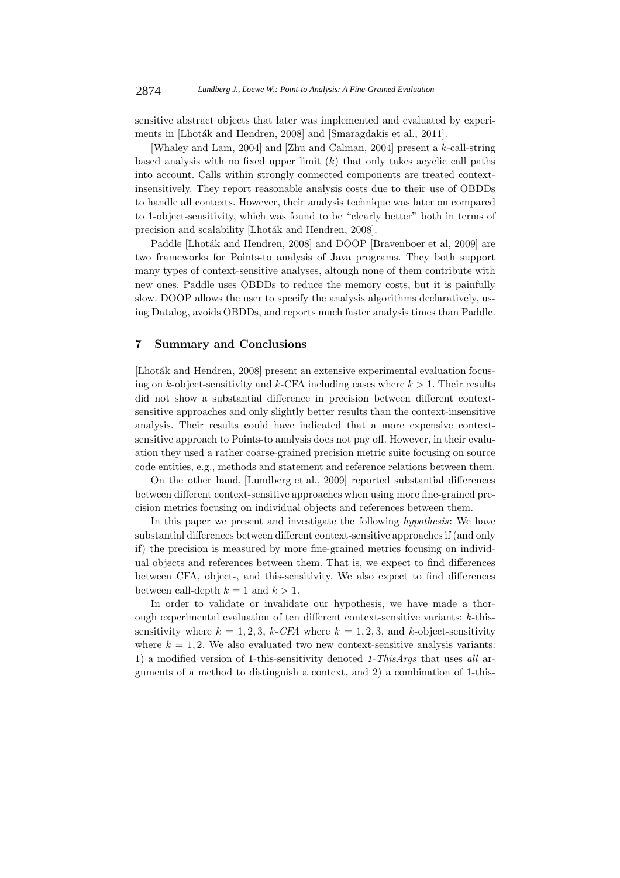sensitive abstract objects that later was implemented and evaluated by experiments in [Lhoták and Hendren, 2008] and [Smaragdakis et al., 2011].

[Whaley and Lam, 2004] and [Zhu and Calman, 2004] present a k-call-string based analysis with no fixed upper limit  $(k)$  that only takes acyclic call paths into account. Calls within strongly connected components are treated contextinsensitively. They report reasonable analysis costs due to their use of OBDDs to handle all contexts. However, their analysis technique was later on compared to 1-object-sensitivity, which was found to be "clearly better" both in terms of precision and scalability [Lhoták and Hendren, 2008].

Paddle [Lhoták and Hendren, 2008] and DOOP [Bravenboer et al, 2009] are two frameworks for Points-to analysis of Java programs. They both support many types of context-sensitive analyses, altough none of them contribute with new ones. Paddle uses OBDDs to reduce the memory costs, but it is painfully slow. DOOP allows the user to specify the analysis algorithms declaratively, using Datalog, avoids OBDDs, and reports much faster analysis times than Paddle.

### **7 Summary and Conclusions**

[Lhoták and Hendren, 2008] present an extensive experimental evaluation focusing on k-object-sensitivity and k-CFA including cases where  $k > 1$ . Their results did not show a substantial difference in precision between different contextsensitive approaches and only slightly better results than the context-insensitive analysis. Their results could have indicated that a more expensive contextsensitive approach to Points-to analysis does not pay off. However, in their evaluation they used a rather coarse-grained precision metric suite focusing on source code entities, e.g., methods and statement and reference relations between them.

On the other hand, [Lundberg et al., 2009] reported substantial differences between different context-sensitive approaches when using more fine-grained precision metrics focusing on individual objects and references between them.

In this paper we present and investigate the following *hypothesis*: We have substantial differences between different context-sensitive approaches if (and only if) the precision is measured by more fine-grained metrics focusing on individual objects and references between them. That is, we expect to find differences between CFA, object-, and this-sensitivity. We also expect to find differences between call-depth  $k = 1$  and  $k > 1$ .

In order to validate or invalidate our hypothesis, we have made a thorough experimental evaluation of ten different context-sensitive variants: k-thissensitivity where  $k = 1, 2, 3, k\text{-}CFA$  where  $k = 1, 2, 3,$  and k-object-sensitivity where  $k = 1, 2$ . We also evaluated two new context-sensitive analysis variants: 1) a modified version of 1-this-sensitivity denoted *1-ThisArgs* that uses *all* arguments of a method to distinguish a context, and 2) a combination of 1-this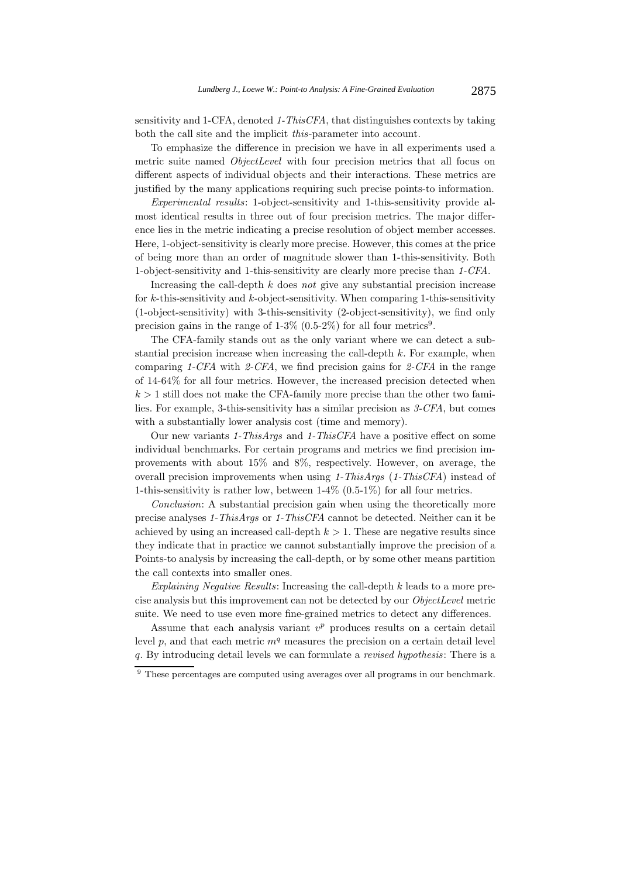sensitivity and 1-CFA, denoted *1-ThisCFA*, that distinguishes contexts by taking both the call site and the implicit *this*-parameter into account.

To emphasize the difference in precision we have in all experiments used a metric suite named *ObjectLevel* with four precision metrics that all focus on different aspects of individual objects and their interactions. These metrics are justified by the many applications requiring such precise points-to information.

*Experimental results*: 1-object-sensitivity and 1-this-sensitivity provide almost identical results in three out of four precision metrics. The major difference lies in the metric indicating a precise resolution of object member accesses. Here, 1-object-sensitivity is clearly more precise. However, this comes at the price of being more than an order of magnitude slower than 1-this-sensitivity. Both 1-object-sensitivity and 1-this-sensitivity are clearly more precise than *1-CFA*.

Increasing the call-depth k does *not* give any substantial precision increase for  $k$ -this-sensitivity and  $k$ -object-sensitivity. When comparing 1-this-sensitivity (1-object-sensitivity) with 3-this-sensitivity (2-object-sensitivity), we find only precision gains in the range of  $1-3\%$  (0.5-2%) for all four metrics<sup>9</sup>.

The CFA-family stands out as the only variant where we can detect a substantial precision increase when increasing the call-depth k. For example, when comparing *1-CFA* with *2-CFA*, we find precision gains for *2-CFA* in the range of 14-64% for all four metrics. However, the increased precision detected when  $k > 1$  still does not make the CFA-family more precise than the other two families. For example, 3-this-sensitivity has a similar precision as *3-CFA*, but comes with a substantially lower analysis cost (time and memory).

Our new variants *1-ThisArgs* and *1-ThisCFA* have a positive effect on some individual benchmarks. For certain programs and metrics we find precision improvements with about 15% and 8%, respectively. However, on average, the overall precision improvements when using *1-ThisArgs* (*1-ThisCFA*) instead of 1-this-sensitivity is rather low, between 1-4% (0.5-1%) for all four metrics.

*Conclusion*: A substantial precision gain when using the theoretically more precise analyses *1-ThisArgs* or *1-ThisCFA* cannot be detected. Neither can it be achieved by using an increased call-depth  $k > 1$ . These are negative results since they indicate that in practice we cannot substantially improve the precision of a Points-to analysis by increasing the call-depth, or by some other means partition the call contexts into smaller ones.

*Explaining Negative Results*: Increasing the call-depth k leads to a more precise analysis but this improvement can not be detected by our *ObjectLevel* metric suite. We need to use even more fine-grained metrics to detect any differences.

Assume that each analysis variant  $v^p$  produces results on a certain detail level  $p$ , and that each metric  $m<sup>q</sup>$  measures the precision on a certain detail level q. By introducing detail levels we can formulate a *revised hypothesis*: There is a

<sup>&</sup>lt;sup>9</sup> These percentages are computed using averages over all programs in our benchmark.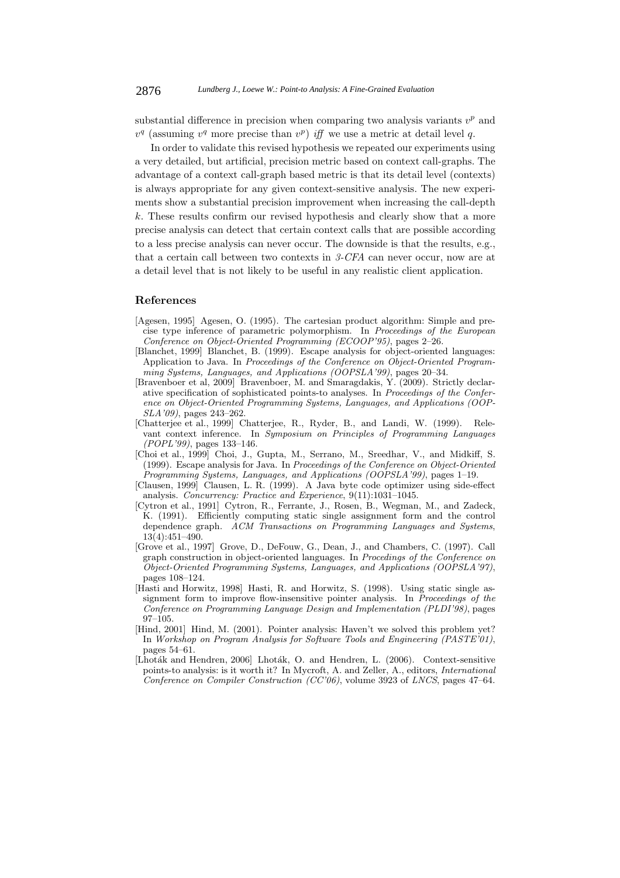substantial difference in precision when comparing two analysis variants v*<sup>p</sup>* and  $v<sup>q</sup>$  (assuming  $v<sup>q</sup>$  more precise than  $v<sup>p</sup>$ ) *iff* we use a metric at detail level q.

In order to validate this revised hypothesis we repeated our experiments using a very detailed, but artificial, precision metric based on context call-graphs. The advantage of a context call-graph based metric is that its detail level (contexts) is always appropriate for any given context-sensitive analysis. The new experiments show a substantial precision improvement when increasing the call-depth k. These results confirm our revised hypothesis and clearly show that a more precise analysis can detect that certain context calls that are possible according to a less precise analysis can never occur. The downside is that the results, e.g., that a certain call between two contexts in *3-CFA* can never occur, now are at a detail level that is not likely to be useful in any realistic client application.

### **References**

- [Agesen, 1995] Agesen, O. (1995). The cartesian product algorithm: Simple and precise type inference of parametric polymorphism. In *Proceedings of the European Conference on Object-Oriented Programming (ECOOP'95)*, pages 2–26.
- [Blanchet, 1999] Blanchet, B. (1999). Escape analysis for object-oriented languages: Application to Java. In *Proceedings of the Conference on Object-Oriented Programming Systems, Languages, and Applications (OOPSLA'99)*, pages 20–34.
- [Bravenboer et al, 2009] Bravenboer, M. and Smaragdakis, Y. (2009). Strictly declarative specification of sophisticated points-to analyses. In *Proceedings of the Conference on Object-Oriented Programming Systems, Languages, and Applications (OOP-SLA'09)*, pages 243–262.
- [Chatterjee et al., 1999] Chatterjee, R., Ryder, B., and Landi, W. (1999). Relevant context inference. In *Symposium on Principles of Programming Languages (POPL'99)*, pages 133–146.
- [Choi et al., 1999] Choi, J., Gupta, M., Serrano, M., Sreedhar, V., and Midkiff, S. (1999). Escape analysis for Java. In *Proceedings of the Conference on Object-Oriented Programming Systems, Languages, and Applications (OOPSLA'99)*, pages 1–19.
- [Clausen, 1999] Clausen, L. R. (1999). A Java byte code optimizer using side-effect analysis. *Concurrency: Practice and Experience*, 9(11):1031–1045.
- [Cytron et al., 1991] Cytron, R., Ferrante, J., Rosen, B., Wegman, M., and Zadeck, K. (1991). Efficiently computing static single assignment form and the control dependence graph. *ACM Transactions on Programming Languages and Systems*, 13(4):451–490.
- [Grove et al., 1997] Grove, D., DeFouw, G., Dean, J., and Chambers, C. (1997). Call graph construction in object-oriented languages. In *Procedings of the Conference on Object-Oriented Programming Systems, Languages, and Applications (OOPSLA'97)*, pages 108–124.
- [Hasti and Horwitz, 1998] Hasti, R. and Horwitz, S. (1998). Using static single assignment form to improve flow-insensitive pointer analysis. In *Proceedings of the Conference on Programming Language Design and Implementation (PLDI'98)*, pages 97–105.
- [Hind, 2001] Hind, M. (2001). Pointer analysis: Haven't we solved this problem yet? In *Workshop on Program Analysis for Software Tools and Engineering (PASTE'01)*, pages 54–61.
- [Lhoták and Hendren, 2006] Lhoták, O. and Hendren, L. (2006). Context-sensitive points-to analysis: is it worth it? In Mycroft, A. and Zeller, A., editors, *International Conference on Compiler Construction (CC'06)*, volume 3923 of *LNCS*, pages 47–64.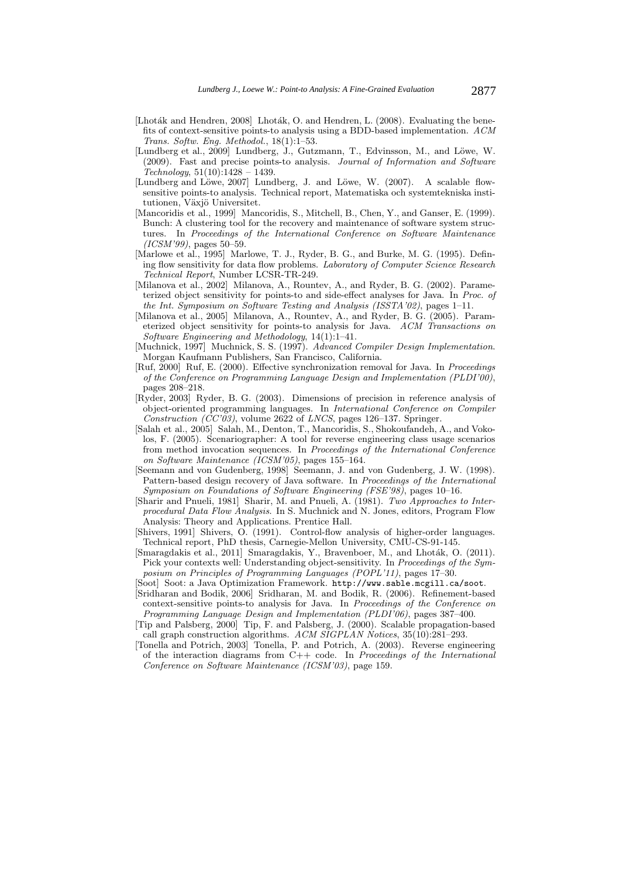- [Lhoták and Hendren, 2008] Lhoták, O. and Hendren, L. (2008). Evaluating the benefits of context-sensitive points-to analysis using a BDD-based implementation. *ACM Trans. Softw. Eng. Methodol.*, 18(1):1–53.
- [Lundberg et al., 2009] Lundberg, J., Gutzmann, T., Edvinsson, M., and Löwe, W. (2009). Fast and precise points-to analysis. *Journal of Information and Software Technology*, 51(10):1428 – 1439.
- [Lundberg and Löwe, 2007] Lundberg, J. and Löwe, W. (2007). A scalable flowsensitive points-to analysis. Technical report, Matematiska och systemtekniska institutionen, Växjö Universitet.
- [Mancoridis et al., 1999] Mancoridis, S., Mitchell, B., Chen, Y., and Ganser, E. (1999). Bunch: A clustering tool for the recovery and maintenance of software system structures. In *Proceedings of the International Conference on Software Maintenance (ICSM'99)*, pages 50–59.
- [Marlowe et al., 1995] Marlowe, T. J., Ryder, B. G., and Burke, M. G. (1995). Defining flow sensitivity for data flow problems. *Laboratory of Computer Science Research Technical Report*, Number LCSR-TR-249.
- [Milanova et al., 2002] Milanova, A., Rountev, A., and Ryder, B. G. (2002). Parameterized object sensitivity for points-to and side-effect analyses for Java. In *Proc. of the Int. Symposium on Software Testing and Analysis (ISSTA'02)*, pages 1–11.
- [Milanova et al., 2005] Milanova, A., Rountev, A., and Ryder, B. G. (2005). Parameterized object sensitivity for points-to analysis for Java. *ACM Transactions on Software Engineering and Methodology*, 14(1):1–41.
- [Muchnick, 1997] Muchnick, S. S. (1997). *Advanced Compiler Design Implementation*. Morgan Kaufmann Publishers, San Francisco, California.
- [Ruf, 2000] Ruf, E. (2000). Effective synchronization removal for Java. In *Proceedings of the Conference on Programming Language Design and Implementation (PLDI'00)*, pages 208–218.
- [Ryder, 2003] Ryder, B. G. (2003). Dimensions of precision in reference analysis of object-oriented programming languages. In *International Conference on Compiler Construction (CC'03)*, volume 2622 of *LNCS*, pages 126–137. Springer.
- [Salah et al., 2005] Salah, M., Denton, T., Mancoridis, S., Shokoufandeh, A., and Vokolos, F. (2005). Scenariographer: A tool for reverse engineering class usage scenarios from method invocation sequences. In *Proceedings of the International Conference on Software Maintenance (ICSM'05)*, pages 155–164.
- [Seemann and von Gudenberg, 1998] Seemann, J. and von Gudenberg, J. W. (1998). Pattern-based design recovery of Java software. In *Proceedings of the International Symposium on Foundations of Software Engineering (FSE'98)*, pages 10–16.
- [Sharir and Pnueli, 1981] Sharir, M. and Pnueli, A. (1981). *Two Approaches to Interprocedural Data Flow Analysis*. In S. Muchnick and N. Jones, editors, Program Flow Analysis: Theory and Applications. Prentice Hall.
- [Shivers, 1991] Shivers, O. (1991). Control-flow analysis of higher-order languages. Technical report, PhD thesis, Carnegie-Mellon University, CMU-CS-91-145.
- [Smaragdakis et al., 2011] Smaragdakis, Y., Bravenboer, M., and Lhoták, O. (2011). Pick your contexts well: Understanding object-sensitivity. In *Proceedings of the Symposium on Principles of Programming Languages (POPL'11)*, pages 17–30.
- [Soot] Soot: a Java Optimization Framework. http://www.sable.mcgill.ca/soot.
- [Sridharan and Bodik, 2006] Sridharan, M. and Bodik, R. (2006). Refinement-based context-sensitive points-to analysis for Java. In *Proceedings of the Conference on Programming Language Design and Implementation (PLDI'06)*, pages 387–400.
- [Tip and Palsberg, 2000] Tip, F. and Palsberg, J. (2000). Scalable propagation-based call graph construction algorithms. *ACM SIGPLAN Notices*, 35(10):281–293.
- [Tonella and Potrich, 2003] Tonella, P. and Potrich, A. (2003). Reverse engineering of the interaction diagrams from C++ code. In *Proceedings of the International Conference on Software Maintenance (ICSM'03)*, page 159.